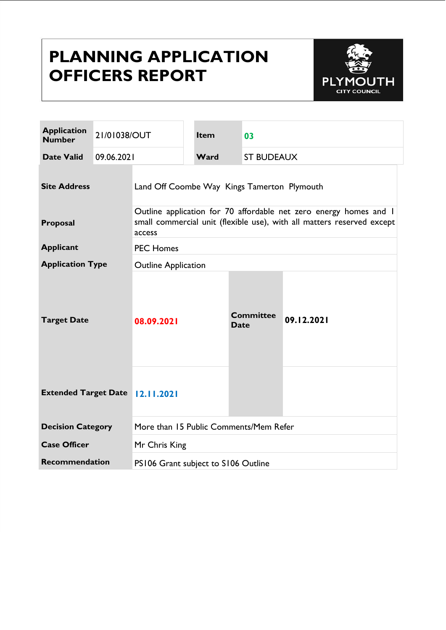# **PLANNING APPLICATION OFFICERS REPORT**



| <b>Application</b><br><b>Number</b>     | 21/01038/OUT |                                                                                                                                                       | <b>Item</b> | 03                              |                   |  |
|-----------------------------------------|--------------|-------------------------------------------------------------------------------------------------------------------------------------------------------|-------------|---------------------------------|-------------------|--|
| <b>Date Valid</b>                       | 09.06.2021   |                                                                                                                                                       | Ward        |                                 | <b>ST BUDEAUX</b> |  |
| <b>Site Address</b>                     |              | Land Off Coombe Way Kings Tamerton Plymouth                                                                                                           |             |                                 |                   |  |
| Proposal                                |              | Outline application for 70 affordable net zero energy homes and I<br>small commercial unit (flexible use), with all matters reserved except<br>access |             |                                 |                   |  |
| <b>Applicant</b>                        |              | <b>PEC Homes</b>                                                                                                                                      |             |                                 |                   |  |
| <b>Application Type</b>                 |              | <b>Outline Application</b>                                                                                                                            |             |                                 |                   |  |
| <b>Target Date</b>                      |              | 08.09.2021                                                                                                                                            |             | <b>Committee</b><br><b>Date</b> | 09.12.2021        |  |
| <b>Extended Target Date   2.11.2021</b> |              |                                                                                                                                                       |             |                                 |                   |  |
| <b>Decision Category</b>                |              | More than 15 Public Comments/Mem Refer                                                                                                                |             |                                 |                   |  |
| <b>Case Officer</b>                     |              | Mr Chris King                                                                                                                                         |             |                                 |                   |  |
| <b>Recommendation</b>                   |              | PS106 Grant subject to S106 Outline                                                                                                                   |             |                                 |                   |  |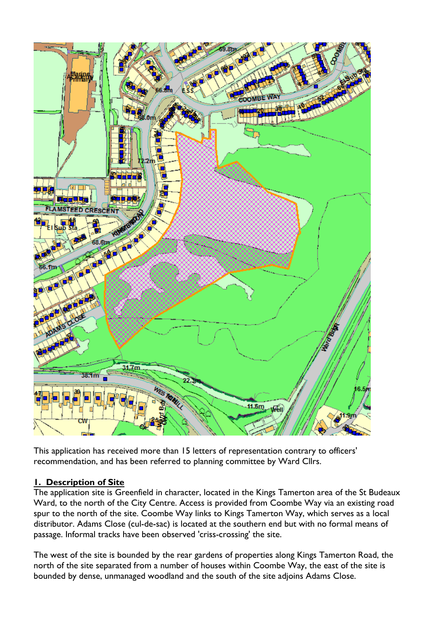

This application has received more than 15 letters of representation contrary to officers' recommendation, and has been referred to planning committee by Ward Cllrs.

#### **1. Description of Site**

The application site is Greenfield in character, located in the Kings Tamerton area of the St Budeaux Ward, to the north of the City Centre. Access is provided from Coombe Way via an existing road spur to the north of the site. Coombe Way links to Kings Tamerton Way, which serves as a local distributor. Adams Close (cul-de-sac) is located at the southern end but with no formal means of passage. Informal tracks have been observed 'criss-crossing' the site.

The west of the site is bounded by the rear gardens of properties along Kings Tamerton Road, the north of the site separated from a number of houses within Coombe Way, the east of the site is bounded by dense, unmanaged woodland and the south of the site adjoins Adams Close.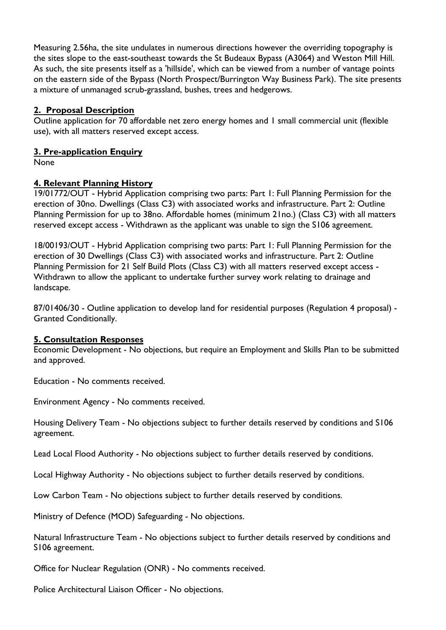Measuring 2.56ha, the site undulates in numerous directions however the overriding topography is the sites slope to the east-southeast towards the St Budeaux Bypass (A3064) and Weston Mill Hill. As such, the site presents itself as a 'hillside', which can be viewed from a number of vantage points on the eastern side of the Bypass (North Prospect/Burrington Way Business Park). The site presents a mixture of unmanaged scrub-grassland, bushes, trees and hedgerows.

#### **2. Proposal Description**

Outline application for 70 affordable net zero energy homes and 1 small commercial unit (flexible use), with all matters reserved except access.

#### **3. Pre-application Enquiry**

None

### **4. Relevant Planning History**

19/01772/OUT - Hybrid Application comprising two parts: Part 1: Full Planning Permission for the erection of 30no. Dwellings (Class C3) with associated works and infrastructure. Part 2: Outline Planning Permission for up to 38no. Affordable homes (minimum 21no.) (Class C3) with all matters reserved except access - Withdrawn as the applicant was unable to sign the S106 agreement.

18/00193/OUT - Hybrid Application comprising two parts: Part 1: Full Planning Permission for the erection of 30 Dwellings (Class C3) with associated works and infrastructure. Part 2: Outline Planning Permission for 21 Self Build Plots (Class C3) with all matters reserved except access - Withdrawn to allow the applicant to undertake further survey work relating to drainage and landscape.

87/01406/30 - Outline application to develop land for residential purposes (Regulation 4 proposal) - Granted Conditionally.

#### **5. Consultation Responses**

Economic Development - No objections, but require an Employment and Skills Plan to be submitted and approved.

Education - No comments received.

Environment Agency - No comments received.

Housing Delivery Team - No objections subject to further details reserved by conditions and S106 agreement.

Lead Local Flood Authority - No objections subject to further details reserved by conditions.

Local Highway Authority - No objections subject to further details reserved by conditions.

Low Carbon Team - No objections subject to further details reserved by conditions.

Ministry of Defence (MOD) Safeguarding - No objections.

Natural Infrastructure Team - No objections subject to further details reserved by conditions and S106 agreement.

Office for Nuclear Regulation (ONR) - No comments received.

Police Architectural Liaison Officer - No objections.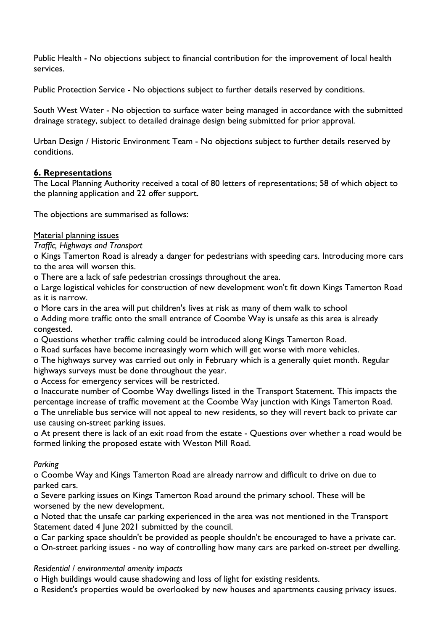Public Health - No objections subject to financial contribution for the improvement of local health services.

Public Protection Service - No objections subject to further details reserved by conditions.

South West Water - No objection to surface water being managed in accordance with the submitted drainage strategy, subject to detailed drainage design being submitted for prior approval.

Urban Design / Historic Environment Team - No objections subject to further details reserved by conditions.

### **6. Representations**

The Local Planning Authority received a total of 80 letters of representations; 58 of which object to the planning application and 22 offer support.

The objections are summarised as follows:

#### Material planning issues

*Traffic, Highways and Transport*

o Kings Tamerton Road is already a danger for pedestrians with speeding cars. Introducing more cars to the area will worsen this.

o There are a lack of safe pedestrian crossings throughout the area.

o Large logistical vehicles for construction of new development won't fit down Kings Tamerton Road as it is narrow.

o More cars in the area will put children's lives at risk as many of them walk to school

o Adding more traffic onto the small entrance of Coombe Way is unsafe as this area is already congested.

o Questions whether traffic calming could be introduced along Kings Tamerton Road.

o Road surfaces have become increasingly worn which will get worse with more vehicles.

o The highways survey was carried out only in February which is a generally quiet month. Regular highways surveys must be done throughout the year.

o Access for emergency services will be restricted.

o Inaccurate number of Coombe Way dwellings listed in the Transport Statement. This impacts the percentage increase of traffic movement at the Coombe Way junction with Kings Tamerton Road. o The unreliable bus service will not appeal to new residents, so they will revert back to private car

use causing on-street parking issues.

o At present there is lack of an exit road from the estate - Questions over whether a road would be formed linking the proposed estate with Weston Mill Road.

#### *Parking*

o Coombe Way and Kings Tamerton Road are already narrow and difficult to drive on due to parked cars.

o Severe parking issues on Kings Tamerton Road around the primary school. These will be worsened by the new development.

o Noted that the unsafe car parking experienced in the area was not mentioned in the Transport Statement dated 4 June 2021 submitted by the council.

o Car parking space shouldn't be provided as people shouldn't be encouraged to have a private car.

o On-street parking issues - no way of controlling how many cars are parked on-street per dwelling.

#### *Residential / environmental amenity impacts*

o High buildings would cause shadowing and loss of light for existing residents.

o Resident's properties would be overlooked by new houses and apartments causing privacy issues.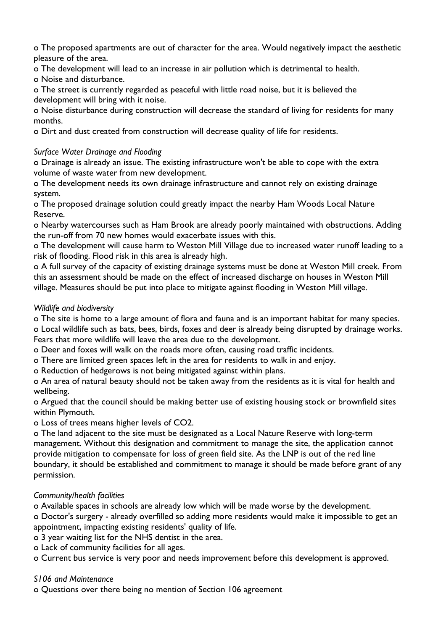o The proposed apartments are out of character for the area. Would negatively impact the aesthetic pleasure of the area.

o The development will lead to an increase in air pollution which is detrimental to health.

o Noise and disturbance.

o The street is currently regarded as peaceful with little road noise, but it is believed the development will bring with it noise.

o Noise disturbance during construction will decrease the standard of living for residents for many months.

o Dirt and dust created from construction will decrease quality of life for residents.

### *Surface Water Drainage and Flooding*

o Drainage is already an issue. The existing infrastructure won't be able to cope with the extra volume of waste water from new development.

o The development needs its own drainage infrastructure and cannot rely on existing drainage system.

o The proposed drainage solution could greatly impact the nearby Ham Woods Local Nature Reserve.

o Nearby watercourses such as Ham Brook are already poorly maintained with obstructions. Adding the run-off from 70 new homes would exacerbate issues with this.

o The development will cause harm to Weston Mill Village due to increased water runoff leading to a risk of flooding. Flood risk in this area is already high.

o A full survey of the capacity of existing drainage systems must be done at Weston Mill creek. From this an assessment should be made on the effect of increased discharge on houses in Weston Mill village. Measures should be put into place to mitigate against flooding in Weston Mill village.

### *Wildlife and biodiversity*

o The site is home to a large amount of flora and fauna and is an important habitat for many species. o Local wildlife such as bats, bees, birds, foxes and deer is already being disrupted by drainage works. Fears that more wildlife will leave the area due to the development.

o Deer and foxes will walk on the roads more often, causing road traffic incidents.

o There are limited green spaces left in the area for residents to walk in and enjoy.

o Reduction of hedgerows is not being mitigated against within plans.

o An area of natural beauty should not be taken away from the residents as it is vital for health and wellbeing.

o Argued that the council should be making better use of existing housing stock or brownfield sites within Plymouth.

o Loss of trees means higher levels of CO2.

o The land adjacent to the site must be designated as a Local Nature Reserve with long-term management. Without this designation and commitment to manage the site, the application cannot provide mitigation to compensate for loss of green field site. As the LNP is out of the red line boundary, it should be established and commitment to manage it should be made before grant of any permission.

# *Community/health facilities*

o Available spaces in schools are already low which will be made worse by the development.

o Doctor's surgery - already overfilled so adding more residents would make it impossible to get an appointment, impacting existing residents' quality of life.

- o 3 year waiting list for the NHS dentist in the area.
- o Lack of community facilities for all ages.

o Current bus service is very poor and needs improvement before this development is approved.

#### *S106 and Maintenance*

o Questions over there being no mention of Section 106 agreement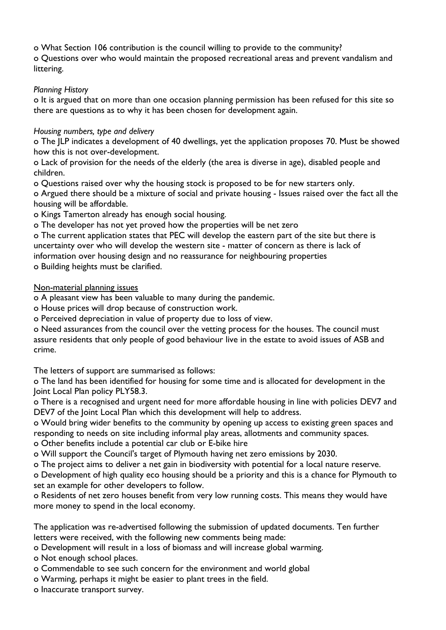o What Section 106 contribution is the council willing to provide to the community?

o Questions over who would maintain the proposed recreational areas and prevent vandalism and littering.

#### *Planning History*

o It is argued that on more than one occasion planning permission has been refused for this site so there are questions as to why it has been chosen for development again.

### *Housing numbers, type and delivery*

o The JLP indicates a development of 40 dwellings, yet the application proposes 70. Must be showed how this is not over-development.

o Lack of provision for the needs of the elderly (the area is diverse in age), disabled people and children.

o Questions raised over why the housing stock is proposed to be for new starters only.

o Argued there should be a mixture of social and private housing - Issues raised over the fact all the housing will be affordable.

o Kings Tamerton already has enough social housing.

o The developer has not yet proved how the properties will be net zero

o The current application states that PEC will develop the eastern part of the site but there is uncertainty over who will develop the western site - matter of concern as there is lack of information over housing design and no reassurance for neighbouring properties

o Building heights must be clarified.

### Non-material planning issues

o A pleasant view has been valuable to many during the pandemic.

o House prices will drop because of construction work.

o Perceived depreciation in value of property due to loss of view.

o Need assurances from the council over the vetting process for the houses. The council must assure residents that only people of good behaviour live in the estate to avoid issues of ASB and crime.

The letters of support are summarised as follows:

o The land has been identified for housing for some time and is allocated for development in the Joint Local Plan policy PLY58.3.

o There is a recognised and urgent need for more affordable housing in line with policies DEV7 and DEV7 of the Joint Local Plan which this development will help to address.

o Would bring wider benefits to the community by opening up access to existing green spaces and responding to needs on site including informal play areas, allotments and community spaces.

o Other benefits include a potential car club or E-bike hire

o Will support the Council's target of Plymouth having net zero emissions by 2030.

o The project aims to deliver a net gain in biodiversity with potential for a local nature reserve.

o Development of high quality eco housing should be a priority and this is a chance for Plymouth to set an example for other developers to follow.

o Residents of net zero houses benefit from very low running costs. This means they would have more money to spend in the local economy.

The application was re-advertised following the submission of updated documents. Ten further letters were received, with the following new comments being made:

o Development will result in a loss of biomass and will increase global warming.

o Not enough school places.

o Commendable to see such concern for the environment and world global

o Warming, perhaps it might be easier to plant trees in the field.

o Inaccurate transport survey.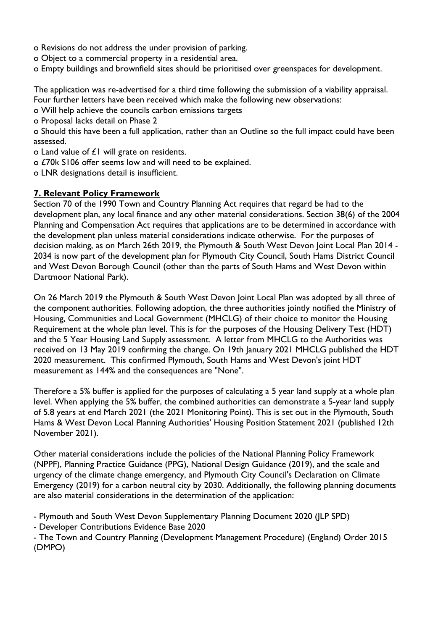- o Revisions do not address the under provision of parking.
- o Object to a commercial property in a residential area.
- o Empty buildings and brownfield sites should be prioritised over greenspaces for development.

The application was re-advertised for a third time following the submission of a viability appraisal. Four further letters have been received which make the following new observations:

- o Will help achieve the councils carbon emissions targets
- o Proposal lacks detail on Phase 2

o Should this have been a full application, rather than an Outline so the full impact could have been assessed.

- o Land value of £1 will grate on residents.
- o £70k S106 offer seems low and will need to be explained.
- o LNR designations detail is insufficient.

#### **7. Relevant Policy Framework**

Section 70 of the 1990 Town and Country Planning Act requires that regard be had to the development plan, any local finance and any other material considerations. Section 38(6) of the 2004 Planning and Compensation Act requires that applications are to be determined in accordance with the development plan unless material considerations indicate otherwise. For the purposes of decision making, as on March 26th 2019, the Plymouth & South West Devon Joint Local Plan 2014 - 2034 is now part of the development plan for Plymouth City Council, South Hams District Council and West Devon Borough Council (other than the parts of South Hams and West Devon within Dartmoor National Park).

On 26 March 2019 the Plymouth & South West Devon Joint Local Plan was adopted by all three of the component authorities. Following adoption, the three authorities jointly notified the Ministry of Housing, Communities and Local Government (MHCLG) of their choice to monitor the Housing Requirement at the whole plan level. This is for the purposes of the Housing Delivery Test (HDT) and the 5 Year Housing Land Supply assessment. A letter from MHCLG to the Authorities was received on 13 May 2019 confirming the change. On 19th January 2021 MHCLG published the HDT 2020 measurement. This confirmed Plymouth, South Hams and West Devon's joint HDT measurement as 144% and the consequences are "None".

Therefore a 5% buffer is applied for the purposes of calculating a 5 year land supply at a whole plan level. When applying the 5% buffer, the combined authorities can demonstrate a 5-year land supply of 5.8 years at end March 2021 (the 2021 Monitoring Point). This is set out in the Plymouth, South Hams & West Devon Local Planning Authorities' Housing Position Statement 2021 (published 12th November 2021).

Other material considerations include the policies of the National Planning Policy Framework (NPPF), Planning Practice Guidance (PPG), National Design Guidance (2019), and the scale and urgency of the climate change emergency, and Plymouth City Council's Declaration on Climate Emergency (2019) for a carbon neutral city by 2030. Additionally, the following planning documents are also material considerations in the determination of the application:

- Plymouth and South West Devon Supplementary Planning Document 2020 (JLP SPD)

- Developer Contributions Evidence Base 2020

- The Town and Country Planning (Development Management Procedure) (England) Order 2015 (DMPO)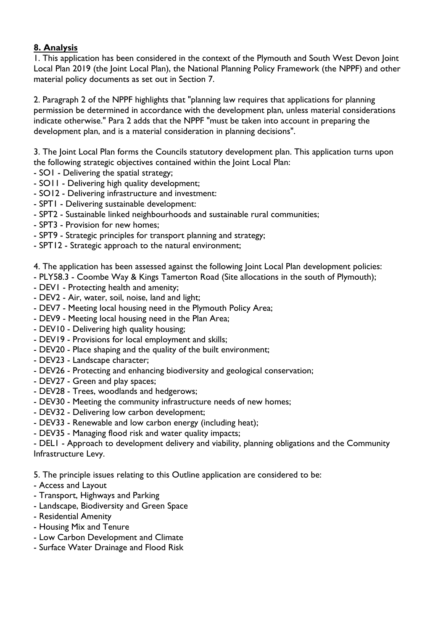### **8. Analysis**

1. This application has been considered in the context of the Plymouth and South West Devon Joint Local Plan 2019 (the Joint Local Plan), the National Planning Policy Framework (the NPPF) and other material policy documents as set out in Section 7.

2. Paragraph 2 of the NPPF highlights that "planning law requires that applications for planning permission be determined in accordance with the development plan, unless material considerations indicate otherwise." Para 2 adds that the NPPF "must be taken into account in preparing the development plan, and is a material consideration in planning decisions".

3. The Joint Local Plan forms the Councils statutory development plan. This application turns upon the following strategic objectives contained within the Joint Local Plan:

- SO1 Delivering the spatial strategy;
- SO11 Delivering high quality development;
- SO12 Delivering infrastructure and investment:
- SPT1 Delivering sustainable development:
- SPT2 Sustainable linked neighbourhoods and sustainable rural communities;
- SPT3 Provision for new homes;
- SPT9 Strategic principles for transport planning and strategy;
- SPT12 Strategic approach to the natural environment;

4. The application has been assessed against the following Joint Local Plan development policies:

- PLY58.3 Coombe Way & Kings Tamerton Road (Site allocations in the south of Plymouth);
- DEV1 Protecting health and amenity;
- DEV2 Air, water, soil, noise, land and light;
- DEV7 Meeting local housing need in the Plymouth Policy Area;
- DEV9 Meeting local housing need in the Plan Area;
- DEV10 Delivering high quality housing;
- DEV19 Provisions for local employment and skills;
- DEV20 Place shaping and the quality of the built environment;
- DEV23 Landscape character;
- DEV26 Protecting and enhancing biodiversity and geological conservation;
- DEV27 Green and play spaces;
- DEV28 Trees, woodlands and hedgerows;
- DEV30 Meeting the community infrastructure needs of new homes;
- DEV32 Delivering low carbon development;
- DEV33 Renewable and low carbon energy (including heat);
- DEV35 Managing flood risk and water quality impacts;

- DEL1 - Approach to development delivery and viability, planning obligations and the Community Infrastructure Levy.

5. The principle issues relating to this Outline application are considered to be:

- Access and Layout
- Transport, Highways and Parking
- Landscape, Biodiversity and Green Space
- Residential Amenity
- Housing Mix and Tenure
- Low Carbon Development and Climate
- Surface Water Drainage and Flood Risk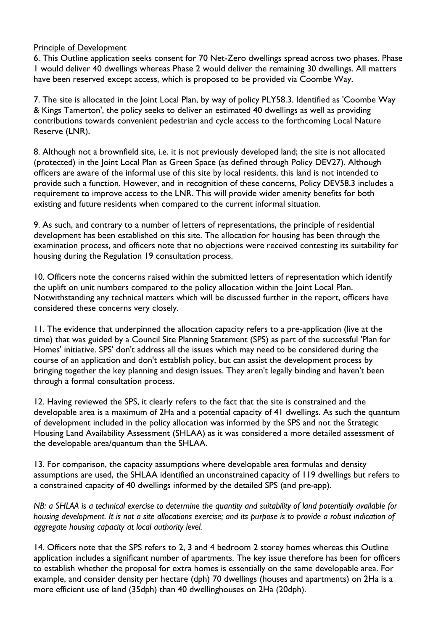#### Principle of Development

6. This Outline application seeks consent for 70 Net-Zero dwellings spread across two phases. Phase 1 would deliver 40 dwellings whereas Phase 2 would deliver the remaining 30 dwellings. All matters have been reserved except access, which is proposed to be provided via Coombe Way.

7. The site is allocated in the Joint Local Plan, by way of policy PLY58.3. Identified as 'Coombe Way & Kings Tamerton', the policy seeks to deliver an estimated 40 dwellings as well as providing contributions towards convenient pedestrian and cycle access to the forthcoming Local Nature Reserve (LNR).

8. Although not a brownfield site, i.e. it is not previously developed land; the site is not allocated (protected) in the Joint Local Plan as Green Space (as defined through Policy DEV27). Although officers are aware of the informal use of this site by local residents, this land is not intended to provide such a function. However, and in recognition of these concerns, Policy DEV58.3 includes a requirement to improve access to the LNR. This will provide wider amenity benefits for both existing and future residents when compared to the current informal situation.

9. As such, and contrary to a number of letters of representations, the principle of residential development has been established on this site. The allocation for housing has been through the examination process, and officers note that no objections were received contesting its suitability for housing during the Regulation 19 consultation process.

10. Officers note the concerns raised within the submitted letters of representation which identify the uplift on unit numbers compared to the policy allocation within the Joint Local Plan. Notwithstanding any technical matters which will be discussed further in the report, officers have considered these concerns very closely.

11. The evidence that underpinned the allocation capacity refers to a pre-application (live at the time) that was guided by a Council Site Planning Statement (SPS) as part of the successful 'Plan for Homes' initiative. SPS' don't address all the issues which may need to be considered during the course of an application and don't establish policy, but can assist the development process by bringing together the key planning and design issues. They aren't legally binding and haven't been through a formal consultation process.

12. Having reviewed the SPS, it clearly refers to the fact that the site is constrained and the developable area is a maximum of 2Ha and a potential capacity of 41 dwellings. As such the quantum of development included in the policy allocation was informed by the SPS and not the Strategic Housing Land Availability Assessment (SHLAA) as it was considered a more detailed assessment of the developable area/quantum than the SHLAA.

13. For comparison, the capacity assumptions where developable area formulas and density assumptions are used, the SHLAA identified an unconstrained capacity of 119 dwellings but refers to a constrained capacity of 40 dwellings informed by the detailed SPS (and pre-app).

NB: a SHLAA is a technical exercise to determine the quantity and suitability of land potentially available for housing development. It is not a site allocations exercise; and its purpose is to provide a robust indication of *aggregate housing capacity at local authority level.*

14. Officers note that the SPS refers to 2, 3 and 4 bedroom 2 storey homes whereas this Outline application includes a significant number of apartments. The key issue therefore has been for officers to establish whether the proposal for extra homes is essentially on the same developable area. For example, and consider density per hectare (dph) 70 dwellings (houses and apartments) on 2Ha is a more efficient use of land (35dph) than 40 dwellinghouses on 2Ha (20dph).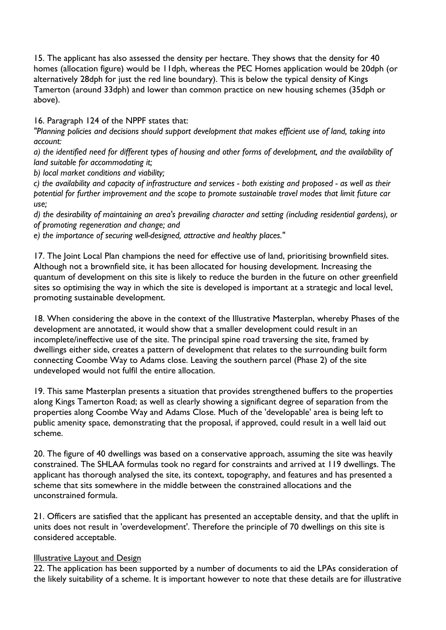15. The applicant has also assessed the density per hectare. They shows that the density for 40 homes (allocation figure) would be 11dph, whereas the PEC Homes application would be 20dph (or alternatively 28dph for just the red line boundary). This is below the typical density of Kings Tamerton (around 33dph) and lower than common practice on new housing schemes (35dph or above).

16. Paragraph 124 of the NPPF states that:

*"Planning policies and decisions should support development that makes efficient use of land, taking into account:*

a) the identified need for different types of housing and other forms of development, and the availability of *land suitable for accommodating it;*

*b) local market conditions and viability;*

c) the availability and capacity of infrastructure and services - both existing and proposed - as well as their *potential for further improvement and the scope to promote sustainable travel modes that limit future car use;*

*d) the desirability of maintaining an area's prevailing character and setting (including residential gardens), or of promoting regeneration and change; and*

*e) the importance of securing well-designed, attractive and healthy places."*

17. The Joint Local Plan champions the need for effective use of land, prioritising brownfield sites. Although not a brownfield site, it has been allocated for housing development. Increasing the quantum of development on this site is likely to reduce the burden in the future on other greenfield sites so optimising the way in which the site is developed is important at a strategic and local level, promoting sustainable development.

18. When considering the above in the context of the Illustrative Masterplan, whereby Phases of the development are annotated, it would show that a smaller development could result in an incomplete/ineffective use of the site. The principal spine road traversing the site, framed by dwellings either side, creates a pattern of development that relates to the surrounding built form connecting Coombe Way to Adams close. Leaving the southern parcel (Phase 2) of the site undeveloped would not fulfil the entire allocation.

19. This same Masterplan presents a situation that provides strengthened buffers to the properties along Kings Tamerton Road; as well as clearly showing a significant degree of separation from the properties along Coombe Way and Adams Close. Much of the 'developable' area is being left to public amenity space, demonstrating that the proposal, if approved, could result in a well laid out scheme.

20. The figure of 40 dwellings was based on a conservative approach, assuming the site was heavily constrained. The SHLAA formulas took no regard for constraints and arrived at 119 dwellings. The applicant has thorough analysed the site, its context, topography, and features and has presented a scheme that sits somewhere in the middle between the constrained allocations and the unconstrained formula.

21. Officers are satisfied that the applicant has presented an acceptable density, and that the uplift in units does not result in 'overdevelopment'. Therefore the principle of 70 dwellings on this site is considered acceptable.

#### Illustrative Layout and Design

22. The application has been supported by a number of documents to aid the LPAs consideration of the likely suitability of a scheme. It is important however to note that these details are for illustrative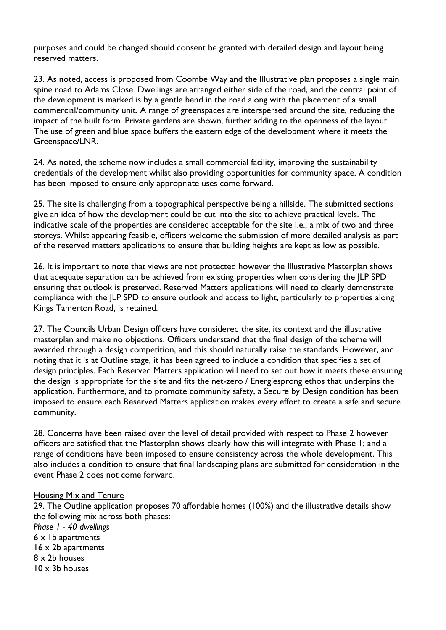purposes and could be changed should consent be granted with detailed design and layout being reserved matters.

23. As noted, access is proposed from Coombe Way and the Illustrative plan proposes a single main spine road to Adams Close. Dwellings are arranged either side of the road, and the central point of the development is marked is by a gentle bend in the road along with the placement of a small commercial/community unit. A range of greenspaces are interspersed around the site, reducing the impact of the built form. Private gardens are shown, further adding to the openness of the layout. The use of green and blue space buffers the eastern edge of the development where it meets the Greenspace/LNR.

24. As noted, the scheme now includes a small commercial facility, improving the sustainability credentials of the development whilst also providing opportunities for community space. A condition has been imposed to ensure only appropriate uses come forward.

25. The site is challenging from a topographical perspective being a hillside. The submitted sections give an idea of how the development could be cut into the site to achieve practical levels. The indicative scale of the properties are considered acceptable for the site i.e., a mix of two and three storeys. Whilst appearing feasible, officers welcome the submission of more detailed analysis as part of the reserved matters applications to ensure that building heights are kept as low as possible.

26. It is important to note that views are not protected however the Illustrative Masterplan shows that adequate separation can be achieved from existing properties when considering the JLP SPD ensuring that outlook is preserved. Reserved Matters applications will need to clearly demonstrate compliance with the JLP SPD to ensure outlook and access to light, particularly to properties along Kings Tamerton Road, is retained.

27. The Councils Urban Design officers have considered the site, its context and the illustrative masterplan and make no objections. Officers understand that the final design of the scheme will awarded through a design competition, and this should naturally raise the standards. However, and noting that it is at Outline stage, it has been agreed to include a condition that specifies a set of design principles. Each Reserved Matters application will need to set out how it meets these ensuring the design is appropriate for the site and fits the net-zero / Energiesprong ethos that underpins the application. Furthermore, and to promote community safety, a Secure by Design condition has been imposed to ensure each Reserved Matters application makes every effort to create a safe and secure community.

28. Concerns have been raised over the level of detail provided with respect to Phase 2 however officers are satisfied that the Masterplan shows clearly how this will integrate with Phase 1; and a range of conditions have been imposed to ensure consistency across the whole development. This also includes a condition to ensure that final landscaping plans are submitted for consideration in the event Phase 2 does not come forward.

#### Housing Mix and Tenure

29. The Outline application proposes 70 affordable homes (100%) and the illustrative details show the following mix across both phases: *Phase 1 - 40 dwellings* 6 x 1b apartments 16 x 2b apartments 8 x 2b houses  $10 \times 3b$  houses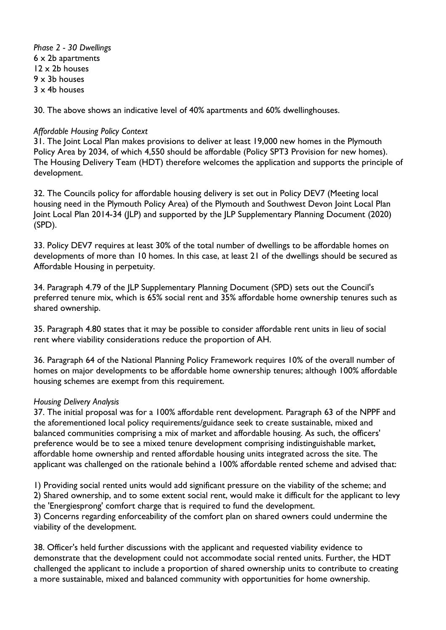*Phase 2 - 30 Dwellings* x 2b apartments x 2b houses x 3b houses x 4b houses

30. The above shows an indicative level of 40% apartments and 60% dwellinghouses.

#### *Affordable Housing Policy Context*

31. The Joint Local Plan makes provisions to deliver at least 19,000 new homes in the Plymouth Policy Area by 2034, of which 4,550 should be affordable (Policy SPT3 Provision for new homes). The Housing Delivery Team (HDT) therefore welcomes the application and supports the principle of development.

32. The Councils policy for affordable housing delivery is set out in Policy DEV7 (Meeting local housing need in the Plymouth Policy Area) of the Plymouth and Southwest Devon Joint Local Plan Joint Local Plan 2014-34 (JLP) and supported by the JLP Supplementary Planning Document (2020) (SPD).

33. Policy DEV7 requires at least 30% of the total number of dwellings to be affordable homes on developments of more than 10 homes. In this case, at least 21 of the dwellings should be secured as Affordable Housing in perpetuity.

34. Paragraph 4.79 of the JLP Supplementary Planning Document (SPD) sets out the Council's preferred tenure mix, which is 65% social rent and 35% affordable home ownership tenures such as shared ownership.

35. Paragraph 4.80 states that it may be possible to consider affordable rent units in lieu of social rent where viability considerations reduce the proportion of AH.

36. Paragraph 64 of the National Planning Policy Framework requires 10% of the overall number of homes on major developments to be affordable home ownership tenures; although 100% affordable housing schemes are exempt from this requirement.

#### *Housing Delivery Analysis*

37. The initial proposal was for a 100% affordable rent development. Paragraph 63 of the NPPF and the aforementioned local policy requirements/guidance seek to create sustainable, mixed and balanced communities comprising a mix of market and affordable housing. As such, the officers' preference would be to see a mixed tenure development comprising indistinguishable market, affordable home ownership and rented affordable housing units integrated across the site. The applicant was challenged on the rationale behind a 100% affordable rented scheme and advised that:

1) Providing social rented units would add significant pressure on the viability of the scheme; and 2) Shared ownership, and to some extent social rent, would make it difficult for the applicant to levy the 'Energiesprong' comfort charge that is required to fund the development.

3) Concerns regarding enforceability of the comfort plan on shared owners could undermine the viability of the development.

38. Officer's held further discussions with the applicant and requested viability evidence to demonstrate that the development could not accommodate social rented units. Further, the HDT challenged the applicant to include a proportion of shared ownership units to contribute to creating a more sustainable, mixed and balanced community with opportunities for home ownership.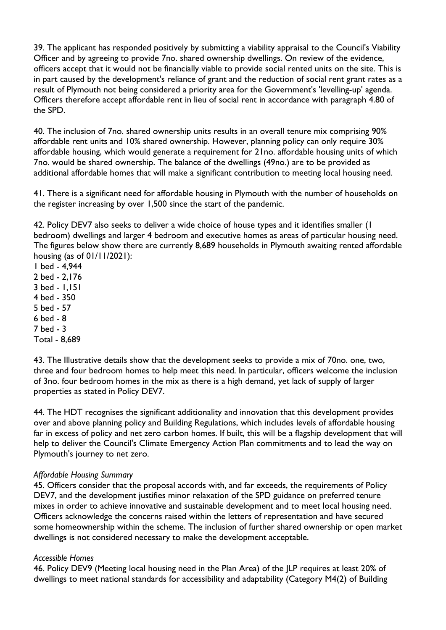39. The applicant has responded positively by submitting a viability appraisal to the Council's Viability Officer and by agreeing to provide 7no. shared ownership dwellings. On review of the evidence, officers accept that it would not be financially viable to provide social rented units on the site. This is in part caused by the development's reliance of grant and the reduction of social rent grant rates as a result of Plymouth not being considered a priority area for the Government's 'levelling-up' agenda. Officers therefore accept affordable rent in lieu of social rent in accordance with paragraph 4.80 of the SPD.

40. The inclusion of 7no. shared ownership units results in an overall tenure mix comprising 90% affordable rent units and 10% shared ownership. However, planning policy can only require 30% affordable housing, which would generate a requirement for 21no. affordable housing units of which 7no. would be shared ownership. The balance of the dwellings (49no.) are to be provided as additional affordable homes that will make a significant contribution to meeting local housing need.

41. There is a significant need for affordable housing in Plymouth with the number of households on the register increasing by over 1,500 since the start of the pandemic.

42. Policy DEV7 also seeks to deliver a wide choice of house types and it identifies smaller (1 bedroom) dwellings and larger 4 bedroom and executive homes as areas of particular housing need. The figures below show there are currently 8,689 households in Plymouth awaiting rented affordable housing (as of 01/11/2021):

- 1 bed 4,944
- 2 bed 2,176
- 3 bed 1,151
- 4 bed 350
- 5 bed 57
- 6 bed 8
- 7 bed 3
- Total 8,689

43. The Illustrative details show that the development seeks to provide a mix of 70no. one, two, three and four bedroom homes to help meet this need. In particular, officers welcome the inclusion of 3no. four bedroom homes in the mix as there is a high demand, yet lack of supply of larger properties as stated in Policy DEV7.

44. The HDT recognises the significant additionality and innovation that this development provides over and above planning policy and Building Regulations, which includes levels of affordable housing far in excess of policy and net zero carbon homes. If built, this will be a flagship development that will help to deliver the Council's Climate Emergency Action Plan commitments and to lead the way on Plymouth's journey to net zero.

#### *Affordable Housing Summary*

45. Officers consider that the proposal accords with, and far exceeds, the requirements of Policy DEV7, and the development justifies minor relaxation of the SPD guidance on preferred tenure mixes in order to achieve innovative and sustainable development and to meet local housing need. Officers acknowledge the concerns raised within the letters of representation and have secured some homeownership within the scheme. The inclusion of further shared ownership or open market dwellings is not considered necessary to make the development acceptable.

#### *Accessible Homes*

46. Policy DEV9 (Meeting local housing need in the Plan Area) of the JLP requires at least 20% of dwellings to meet national standards for accessibility and adaptability (Category M4(2) of Building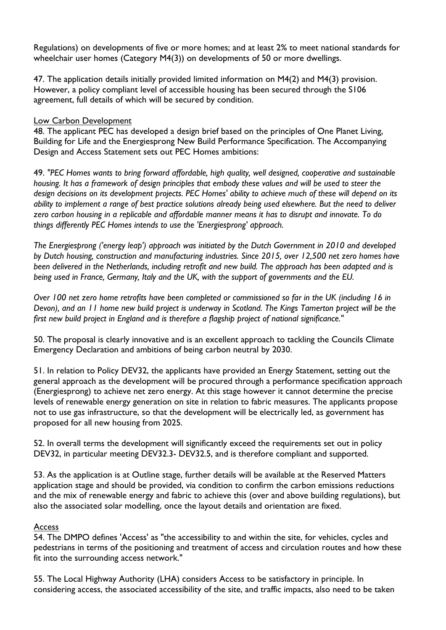Regulations) on developments of five or more homes; and at least 2% to meet national standards for wheelchair user homes (Category M4(3)) on developments of 50 or more dwellings.

47. The application details initially provided limited information on M4(2) and M4(3) provision. However, a policy compliant level of accessible housing has been secured through the S106 agreement, full details of which will be secured by condition.

#### Low Carbon Development

48. The applicant PEC has developed a design brief based on the principles of One Planet Living, Building for Life and the Energiesprong New Build Performance Specification. The Accompanying Design and Access Statement sets out PEC Homes ambitions:

49. *"PEC Homes wants to bring forward affordable, high quality, well designed, cooperative and sustainable* housing. It has a framework of design principles that embody these values and will be used to steer the design decisions on its development projects. PEC Homes' ability to achieve much of these will depend on its ability to implement a range of best practice solutions already being used elsewhere. But the need to deliver zero carbon housing in a replicable and affordable manner means it has to disrupt and innovate. To do *things differently PEC Homes intends to use the 'Energiesprong' approach.*

*The Energiesprong ('energy leap') approach was initiated by the Dutch Government in 2010 and developed by Dutch housing, construction and manufacturing industries. Since 2015, over 12,500 net zero homes have been delivered in the Netherlands, including retrofit and new build. The approach has been adapted and is being used in France, Germany, Italy and the UK, with the support of governments and the EU.*

Over 100 net zero home retrofits have been completed or commissioned so far in the UK (including 16 in Devon), and an 11 home new build project is underway in Scotland. The Kings Tamerton project will be the *first new build project in England and is therefore a flagship project of national significance."*

50. The proposal is clearly innovative and is an excellent approach to tackling the Councils Climate Emergency Declaration and ambitions of being carbon neutral by 2030.

51. In relation to Policy DEV32, the applicants have provided an Energy Statement, setting out the general approach as the development will be procured through a performance specification approach (Energiesprong) to achieve net zero energy. At this stage however it cannot determine the precise levels of renewable energy generation on site in relation to fabric measures. The applicants propose not to use gas infrastructure, so that the development will be electrically led, as government has proposed for all new housing from 2025.

52. In overall terms the development will significantly exceed the requirements set out in policy DEV32, in particular meeting DEV32.3- DEV32.5, and is therefore compliant and supported.

53. As the application is at Outline stage, further details will be available at the Reserved Matters application stage and should be provided, via condition to confirm the carbon emissions reductions and the mix of renewable energy and fabric to achieve this (over and above building regulations), but also the associated solar modelling, once the layout details and orientation are fixed.

#### Access

54. The DMPO defines 'Access' as "the accessibility to and within the site, for vehicles, cycles and pedestrians in terms of the positioning and treatment of access and circulation routes and how these fit into the surrounding access network."

55. The Local Highway Authority (LHA) considers Access to be satisfactory in principle. In considering access, the associated accessibility of the site, and traffic impacts, also need to be taken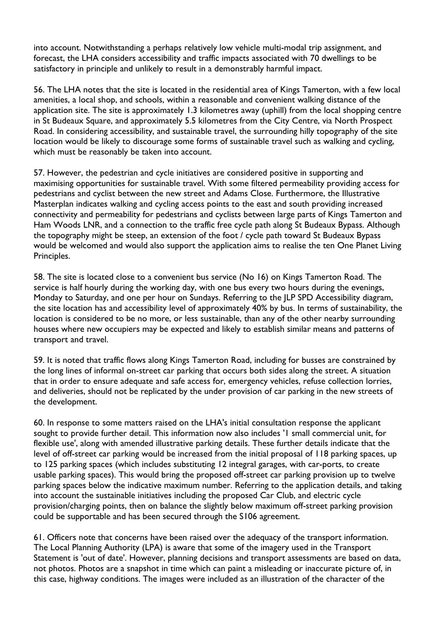into account. Notwithstanding a perhaps relatively low vehicle multi-modal trip assignment, and forecast, the LHA considers accessibility and traffic impacts associated with 70 dwellings to be satisfactory in principle and unlikely to result in a demonstrably harmful impact.

56. The LHA notes that the site is located in the residential area of Kings Tamerton, with a few local amenities, a local shop, and schools, within a reasonable and convenient walking distance of the application site. The site is approximately 1.3 kilometres away (uphill) from the local shopping centre in St Budeaux Square, and approximately 5.5 kilometres from the City Centre, via North Prospect Road. In considering accessibility, and sustainable travel, the surrounding hilly topography of the site location would be likely to discourage some forms of sustainable travel such as walking and cycling, which must be reasonably be taken into account.

57. However, the pedestrian and cycle initiatives are considered positive in supporting and maximising opportunities for sustainable travel. With some filtered permeability providing access for pedestrians and cyclist between the new street and Adams Close. Furthermore, the Illustrative Masterplan indicates walking and cycling access points to the east and south providing increased connectivity and permeability for pedestrians and cyclists between large parts of Kings Tamerton and Ham Woods LNR, and a connection to the traffic free cycle path along St Budeaux Bypass. Although the topography might be steep, an extension of the foot / cycle path toward St Budeaux Bypass would be welcomed and would also support the application aims to realise the ten One Planet Living Principles.

58. The site is located close to a convenient bus service (No 16) on Kings Tamerton Road. The service is half hourly during the working day, with one bus every two hours during the evenings, Monday to Saturday, and one per hour on Sundays. Referring to the JLP SPD Accessibility diagram, the site location has and accessibility level of approximately 40% by bus. In terms of sustainability, the location is considered to be no more, or less sustainable, than any of the other nearby surrounding houses where new occupiers may be expected and likely to establish similar means and patterns of transport and travel.

59. It is noted that traffic flows along Kings Tamerton Road, including for busses are constrained by the long lines of informal on-street car parking that occurs both sides along the street. A situation that in order to ensure adequate and safe access for, emergency vehicles, refuse collection lorries, and deliveries, should not be replicated by the under provision of car parking in the new streets of the development.

60. In response to some matters raised on the LHA's initial consultation response the applicant sought to provide further detail. This information now also includes '1 small commercial unit, for flexible use', along with amended illustrative parking details. These further details indicate that the level of off-street car parking would be increased from the initial proposal of 118 parking spaces, up to 125 parking spaces (which includes substituting 12 integral garages, with car-ports, to create usable parking spaces). This would bring the proposed off-street car parking provision up to twelve parking spaces below the indicative maximum number. Referring to the application details, and taking into account the sustainable initiatives including the proposed Car Club, and electric cycle provision/charging points, then on balance the slightly below maximum off-street parking provision could be supportable and has been secured through the S106 agreement.

61. Officers note that concerns have been raised over the adequacy of the transport information. The Local Planning Authority (LPA) is aware that some of the imagery used in the Transport Statement is 'out of date'. However, planning decisions and transport assessments are based on data, not photos. Photos are a snapshot in time which can paint a misleading or inaccurate picture of, in this case, highway conditions. The images were included as an illustration of the character of the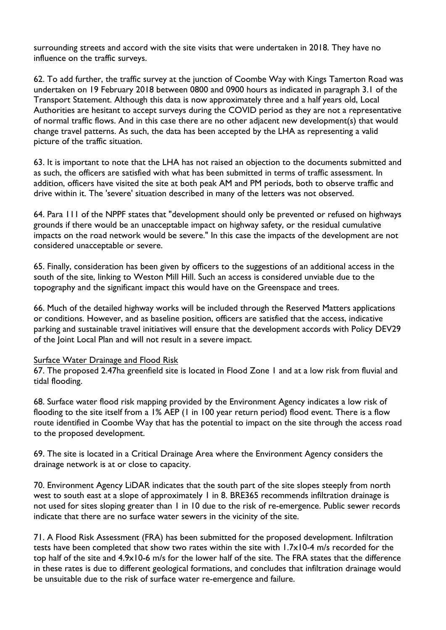surrounding streets and accord with the site visits that were undertaken in 2018. They have no influence on the traffic surveys.

62. To add further, the traffic survey at the junction of Coombe Way with Kings Tamerton Road was undertaken on 19 February 2018 between 0800 and 0900 hours as indicated in paragraph 3.1 of the Transport Statement. Although this data is now approximately three and a half years old, Local Authorities are hesitant to accept surveys during the COVID period as they are not a representative of normal traffic flows. And in this case there are no other adjacent new development(s) that would change travel patterns. As such, the data has been accepted by the LHA as representing a valid picture of the traffic situation.

63. It is important to note that the LHA has not raised an objection to the documents submitted and as such, the officers are satisfied with what has been submitted in terms of traffic assessment. In addition, officers have visited the site at both peak AM and PM periods, both to observe traffic and drive within it. The 'severe' situation described in many of the letters was not observed.

64. Para 111 of the NPPF states that "development should only be prevented or refused on highways grounds if there would be an unacceptable impact on highway safety, or the residual cumulative impacts on the road network would be severe." In this case the impacts of the development are not considered unacceptable or severe.

65. Finally, consideration has been given by officers to the suggestions of an additional access in the south of the site, linking to Weston Mill Hill. Such an access is considered unviable due to the topography and the significant impact this would have on the Greenspace and trees.

66. Much of the detailed highway works will be included through the Reserved Matters applications or conditions. However, and as baseline position, officers are satisfied that the access, indicative parking and sustainable travel initiatives will ensure that the development accords with Policy DEV29 of the Joint Local Plan and will not result in a severe impact.

#### Surface Water Drainage and Flood Risk

67. The proposed 2.47ha greenfield site is located in Flood Zone 1 and at a low risk from fluvial and tidal flooding.

68. Surface water flood risk mapping provided by the Environment Agency indicates a low risk of flooding to the site itself from a 1% AEP (1 in 100 year return period) flood event. There is a flow route identified in Coombe Way that has the potential to impact on the site through the access road to the proposed development.

69. The site is located in a Critical Drainage Area where the Environment Agency considers the drainage network is at or close to capacity.

70. Environment Agency LiDAR indicates that the south part of the site slopes steeply from north west to south east at a slope of approximately 1 in 8. BRE365 recommends infiltration drainage is not used for sites sloping greater than 1 in 10 due to the risk of re-emergence. Public sewer records indicate that there are no surface water sewers in the vicinity of the site.

71. A Flood Risk Assessment (FRA) has been submitted for the proposed development. Infiltration tests have been completed that show two rates within the site with 1.7x10-4 m/s recorded for the top half of the site and 4.9x10-6 m/s for the lower half of the site. The FRA states that the difference in these rates is due to different geological formations, and concludes that infiltration drainage would be unsuitable due to the risk of surface water re-emergence and failure.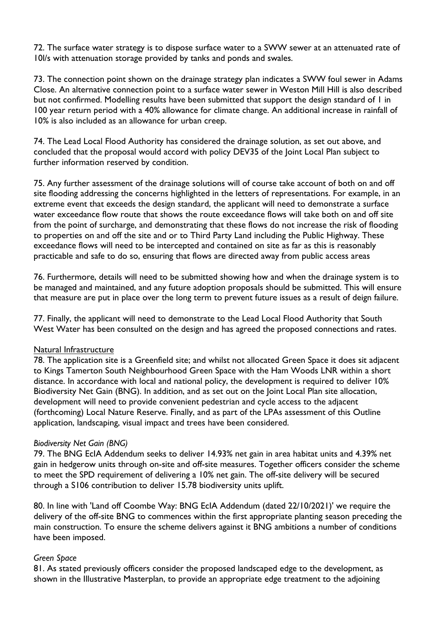72. The surface water strategy is to dispose surface water to a SWW sewer at an attenuated rate of 10l/s with attenuation storage provided by tanks and ponds and swales.

73. The connection point shown on the drainage strategy plan indicates a SWW foul sewer in Adams Close. An alternative connection point to a surface water sewer in Weston Mill Hill is also described but not confirmed. Modelling results have been submitted that support the design standard of 1 in 100 year return period with a 40% allowance for climate change. An additional increase in rainfall of 10% is also included as an allowance for urban creep.

74. The Lead Local Flood Authority has considered the drainage solution, as set out above, and concluded that the proposal would accord with policy DEV35 of the Joint Local Plan subject to further information reserved by condition.

75. Any further assessment of the drainage solutions will of course take account of both on and off site flooding addressing the concerns highlighted in the letters of representations. For example, in an extreme event that exceeds the design standard, the applicant will need to demonstrate a surface water exceedance flow route that shows the route exceedance flows will take both on and off site from the point of surcharge, and demonstrating that these flows do not increase the risk of flooding to properties on and off the site and or to Third Party Land including the Public Highway. These exceedance flows will need to be intercepted and contained on site as far as this is reasonably practicable and safe to do so, ensuring that flows are directed away from public access areas

76. Furthermore, details will need to be submitted showing how and when the drainage system is to be managed and maintained, and any future adoption proposals should be submitted. This will ensure that measure are put in place over the long term to prevent future issues as a result of deign failure.

77. Finally, the applicant will need to demonstrate to the Lead Local Flood Authority that South West Water has been consulted on the design and has agreed the proposed connections and rates.

#### Natural Infrastructure

78. The application site is a Greenfield site; and whilst not allocated Green Space it does sit adjacent to Kings Tamerton South Neighbourhood Green Space with the Ham Woods LNR within a short distance. In accordance with local and national policy, the development is required to deliver 10% Biodiversity Net Gain (BNG). In addition, and as set out on the Joint Local Plan site allocation, development will need to provide convenient pedestrian and cycle access to the adjacent (forthcoming) Local Nature Reserve. Finally, and as part of the LPAs assessment of this Outline application, landscaping, visual impact and trees have been considered.

#### *Biodiversity Net Gain (BNG)*

79. The BNG EcIA Addendum seeks to deliver 14.93% net gain in area habitat units and 4.39% net gain in hedgerow units through on-site and off-site measures. Together officers consider the scheme to meet the SPD requirement of delivering a 10% net gain. The off-site delivery will be secured through a S106 contribution to deliver 15.78 biodiversity units uplift.

80. In line with 'Land off Coombe Way: BNG EcIA Addendum (dated 22/10/2021)' we require the delivery of the off-site BNG to commences within the first appropriate planting season preceding the main construction. To ensure the scheme delivers against it BNG ambitions a number of conditions have been imposed.

#### *Green Space*

81. As stated previously officers consider the proposed landscaped edge to the development, as shown in the Illustrative Masterplan, to provide an appropriate edge treatment to the adjoining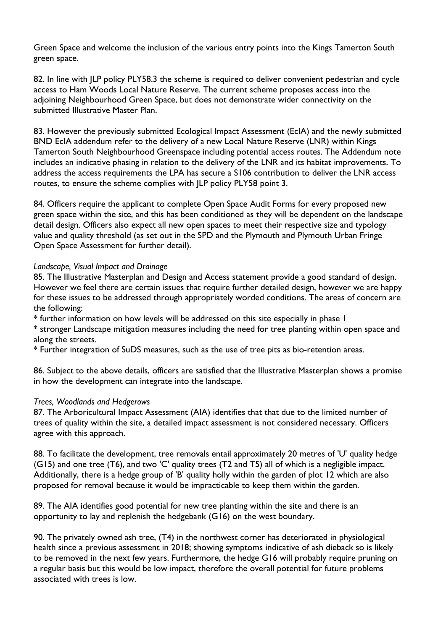Green Space and welcome the inclusion of the various entry points into the Kings Tamerton South green space.

82. In line with JLP policy PLY58.3 the scheme is required to deliver convenient pedestrian and cycle access to Ham Woods Local Nature Reserve. The current scheme proposes access into the adjoining Neighbourhood Green Space, but does not demonstrate wider connectivity on the submitted Illustrative Master Plan.

83. However the previously submitted Ecological Impact Assessment (EcIA) and the newly submitted BND EcIA addendum refer to the delivery of a new Local Nature Reserve (LNR) within Kings Tamerton South Neighbourhood Greenspace including potential access routes. The Addendum note includes an indicative phasing in relation to the delivery of the LNR and its habitat improvements. To address the access requirements the LPA has secure a S106 contribution to deliver the LNR access routes, to ensure the scheme complies with JLP policy PLY58 point 3.

84. Officers require the applicant to complete Open Space Audit Forms for every proposed new green space within the site, and this has been conditioned as they will be dependent on the landscape detail design. Officers also expect all new open spaces to meet their respective size and typology value and quality threshold (as set out in the SPD and the Plymouth and Plymouth Urban Fringe Open Space Assessment for further detail).

#### *Landscape, Visual Impact and Drainage*

85. The Illustrative Masterplan and Design and Access statement provide a good standard of design. However we feel there are certain issues that require further detailed design, however we are happy for these issues to be addressed through appropriately worded conditions. The areas of concern are the following:

\* further information on how levels will be addressed on this site especially in phase 1 \* stronger Landscape mitigation measures including the need for tree planting within open space and

along the streets.

\* Further integration of SuDS measures, such as the use of tree pits as bio-retention areas.

86. Subject to the above details, officers are satisfied that the Illustrative Masterplan shows a promise in how the development can integrate into the landscape.

#### *Trees, Woodlands and Hedgerows*

87. The Arboricultural Impact Assessment (AIA) identifies that that due to the limited number of trees of quality within the site, a detailed impact assessment is not considered necessary. Officers agree with this approach.

88. To facilitate the development, tree removals entail approximately 20 metres of 'U' quality hedge (G15) and one tree (T6), and two 'C' quality trees (T2 and T5) all of which is a negligible impact. Additionally, there is a hedge group of 'B' quality holly within the garden of plot 12 which are also proposed for removal because it would be impracticable to keep them within the garden.

89. The AIA identifies good potential for new tree planting within the site and there is an opportunity to lay and replenish the hedgebank (G16) on the west boundary.

90. The privately owned ash tree, (T4) in the northwest corner has deteriorated in physiological health since a previous assessment in 2018; showing symptoms indicative of ash dieback so is likely to be removed in the next few years. Furthermore, the hedge G16 will probably require pruning on a regular basis but this would be low impact, therefore the overall potential for future problems associated with trees is low.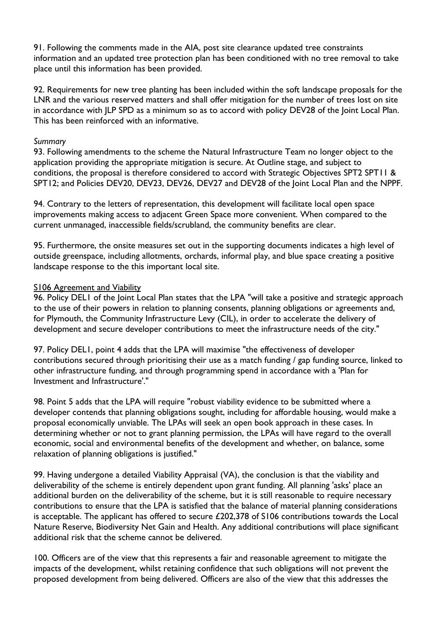91. Following the comments made in the AIA, post site clearance updated tree constraints information and an updated tree protection plan has been conditioned with no tree removal to take place until this information has been provided.

92. Requirements for new tree planting has been included within the soft landscape proposals for the LNR and the various reserved matters and shall offer mitigation for the number of trees lost on site in accordance with JLP SPD as a minimum so as to accord with policy DEV28 of the Joint Local Plan. This has been reinforced with an informative.

#### *Summary*

93. Following amendments to the scheme the Natural Infrastructure Team no longer object to the application providing the appropriate mitigation is secure. At Outline stage, and subject to conditions, the proposal is therefore considered to accord with Strategic Objectives SPT2 SPT11 & SPT12; and Policies DEV20, DEV23, DEV26, DEV27 and DEV28 of the Joint Local Plan and the NPPF.

94. Contrary to the letters of representation, this development will facilitate local open space improvements making access to adjacent Green Space more convenient. When compared to the current unmanaged, inaccessible fields/scrubland, the community benefits are clear.

95. Furthermore, the onsite measures set out in the supporting documents indicates a high level of outside greenspace, including allotments, orchards, informal play, and blue space creating a positive landscape response to the this important local site.

#### S106 Agreement and Viability

96. Policy DEL1 of the Joint Local Plan states that the LPA "will take a positive and strategic approach to the use of their powers in relation to planning consents, planning obligations or agreements and, for Plymouth, the Community Infrastructure Levy (CIL), in order to accelerate the delivery of development and secure developer contributions to meet the infrastructure needs of the city."

97. Policy DEL1, point 4 adds that the LPA will maximise "the effectiveness of developer contributions secured through prioritising their use as a match funding / gap funding source, linked to other infrastructure funding, and through programming spend in accordance with a 'Plan for Investment and Infrastructure'."

98. Point 5 adds that the LPA will require "robust viability evidence to be submitted where a developer contends that planning obligations sought, including for affordable housing, would make a proposal economically unviable. The LPAs will seek an open book approach in these cases. In determining whether or not to grant planning permission, the LPAs will have regard to the overall economic, social and environmental benefits of the development and whether, on balance, some relaxation of planning obligations is justified."

99. Having undergone a detailed Viability Appraisal (VA), the conclusion is that the viability and deliverability of the scheme is entirely dependent upon grant funding. All planning 'asks' place an additional burden on the deliverability of the scheme, but it is still reasonable to require necessary contributions to ensure that the LPA is satisfied that the balance of material planning considerations is acceptable. The applicant has offered to secure £202,378 of S106 contributions towards the Local Nature Reserve, Biodiversity Net Gain and Health. Any additional contributions will place significant additional risk that the scheme cannot be delivered.

100. Officers are of the view that this represents a fair and reasonable agreement to mitigate the impacts of the development, whilst retaining confidence that such obligations will not prevent the proposed development from being delivered. Officers are also of the view that this addresses the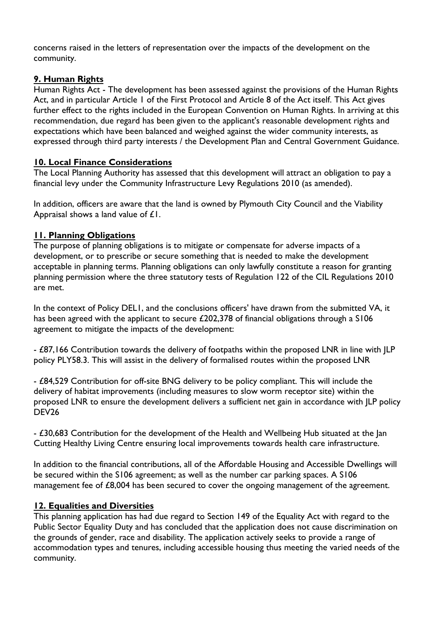concerns raised in the letters of representation over the impacts of the development on the community.

# **9. Human Rights**

Human Rights Act - The development has been assessed against the provisions of the Human Rights Act, and in particular Article 1 of the First Protocol and Article 8 of the Act itself. This Act gives further effect to the rights included in the European Convention on Human Rights. In arriving at this recommendation, due regard has been given to the applicant's reasonable development rights and expectations which have been balanced and weighed against the wider community interests, as expressed through third party interests / the Development Plan and Central Government Guidance.

# **10. Local Finance Considerations**

The Local Planning Authority has assessed that this development will attract an obligation to pay a financial levy under the Community Infrastructure Levy Regulations 2010 (as amended).

In addition, officers are aware that the land is owned by Plymouth City Council and the Viability Appraisal shows a land value of £1.

# **11. Planning Obligations**

The purpose of planning obligations is to mitigate or compensate for adverse impacts of a development, or to prescribe or secure something that is needed to make the development acceptable in planning terms. Planning obligations can only lawfully constitute a reason for granting planning permission where the three statutory tests of Regulation 122 of the CIL Regulations 2010 are met.

In the context of Policy DEL1, and the conclusions officers' have drawn from the submitted VA, it has been agreed with the applicant to secure £202,378 of financial obligations through a S106 agreement to mitigate the impacts of the development:

- £87,166 Contribution towards the delivery of footpaths within the proposed LNR in line with JLP policy PLY58.3. This will assist in the delivery of formalised routes within the proposed LNR

- £84,529 Contribution for off-site BNG delivery to be policy compliant. This will include the delivery of habitat improvements (including measures to slow worm receptor site) within the proposed LNR to ensure the development delivers a sufficient net gain in accordance with JLP policy DEV26

- £30,683 Contribution for the development of the Health and Wellbeing Hub situated at the Jan Cutting Healthy Living Centre ensuring local improvements towards health care infrastructure.

In addition to the financial contributions, all of the Affordable Housing and Accessible Dwellings will be secured within the S106 agreement; as well as the number car parking spaces. A S106 management fee of £8,004 has been secured to cover the ongoing management of the agreement.

# **12. Equalities and Diversities**

This planning application has had due regard to Section 149 of the Equality Act with regard to the Public Sector Equality Duty and has concluded that the application does not cause discrimination on the grounds of gender, race and disability. The application actively seeks to provide a range of accommodation types and tenures, including accessible housing thus meeting the varied needs of the community.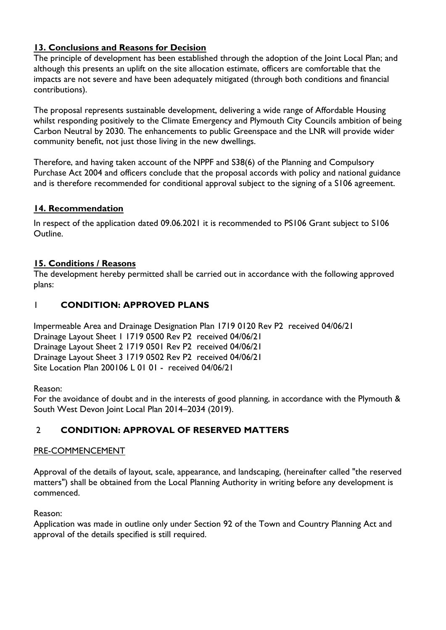# **13. Conclusions and Reasons for Decision**

The principle of development has been established through the adoption of the Joint Local Plan; and although this presents an uplift on the site allocation estimate, officers are comfortable that the impacts are not severe and have been adequately mitigated (through both conditions and financial contributions).

The proposal represents sustainable development, delivering a wide range of Affordable Housing whilst responding positively to the Climate Emergency and Plymouth City Councils ambition of being Carbon Neutral by 2030. The enhancements to public Greenspace and the LNR will provide wider community benefit, not just those living in the new dwellings.

Therefore, and having taken account of the NPPF and S38(6) of the Planning and Compulsory Purchase Act 2004 and officers conclude that the proposal accords with policy and national guidance and is therefore recommended for conditional approval subject to the signing of a S106 agreement.

# **14. Recommendation**

In respect of the application dated 09.06.2021 it is recommended to PS106 Grant subject to S106 Outline.

### **15. Conditions / Reasons**

The development hereby permitted shall be carried out in accordance with the following approved plans:

### 1 **CONDITION: APPROVED PLANS**

Impermeable Area and Drainage Designation Plan 1719 0120 Rev P2 received 04/06/21 Drainage Layout Sheet 1 1719 0500 Rev P2 received 04/06/21 Drainage Layout Sheet 2 1719 0501 Rev P2 received 04/06/21 Drainage Layout Sheet 3 1719 0502 Rev P2 received 04/06/21 Site Location Plan 200106 L 01 01 - received 04/06/21

Reason:

For the avoidance of doubt and in the interests of good planning, in accordance with the Plymouth & South West Devon Joint Local Plan 2014–2034 (2019).

# 2 **CONDITION: APPROVAL OF RESERVED MATTERS**

#### PRE-COMMENCEMENT

Approval of the details of layout, scale, appearance, and landscaping, (hereinafter called "the reserved matters") shall be obtained from the Local Planning Authority in writing before any development is commenced.

Reason:

Application was made in outline only under Section 92 of the Town and Country Planning Act and approval of the details specified is still required.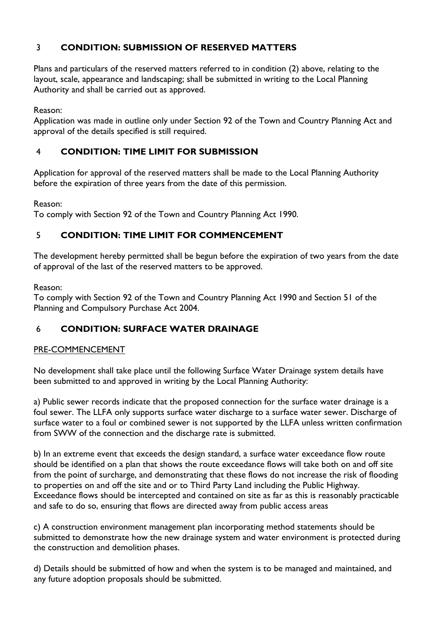# 3 **CONDITION: SUBMISSION OF RESERVED MATTERS**

Plans and particulars of the reserved matters referred to in condition (2) above, relating to the layout, scale, appearance and landscaping; shall be submitted in writing to the Local Planning Authority and shall be carried out as approved.

Reason:

Application was made in outline only under Section 92 of the Town and Country Planning Act and approval of the details specified is still required.

# 4 **CONDITION: TIME LIMIT FOR SUBMISSION**

Application for approval of the reserved matters shall be made to the Local Planning Authority before the expiration of three years from the date of this permission.

Reason:

To comply with Section 92 of the Town and Country Planning Act 1990.

# 5 **CONDITION: TIME LIMIT FOR COMMENCEMENT**

The development hereby permitted shall be begun before the expiration of two years from the date of approval of the last of the reserved matters to be approved.

Reason:

To comply with Section 92 of the Town and Country Planning Act 1990 and Section 51 of the Planning and Compulsory Purchase Act 2004.

# 6 **CONDITION: SURFACE WATER DRAINAGE**

#### PRE-COMMENCEMENT

No development shall take place until the following Surface Water Drainage system details have been submitted to and approved in writing by the Local Planning Authority:

a) Public sewer records indicate that the proposed connection for the surface water drainage is a foul sewer. The LLFA only supports surface water discharge to a surface water sewer. Discharge of surface water to a foul or combined sewer is not supported by the LLFA unless written confirmation from SWW of the connection and the discharge rate is submitted.

b) In an extreme event that exceeds the design standard, a surface water exceedance flow route should be identified on a plan that shows the route exceedance flows will take both on and off site from the point of surcharge, and demonstrating that these flows do not increase the risk of flooding to properties on and off the site and or to Third Party Land including the Public Highway. Exceedance flows should be intercepted and contained on site as far as this is reasonably practicable and safe to do so, ensuring that flows are directed away from public access areas

c) A construction environment management plan incorporating method statements should be submitted to demonstrate how the new drainage system and water environment is protected during the construction and demolition phases.

d) Details should be submitted of how and when the system is to be managed and maintained, and any future adoption proposals should be submitted.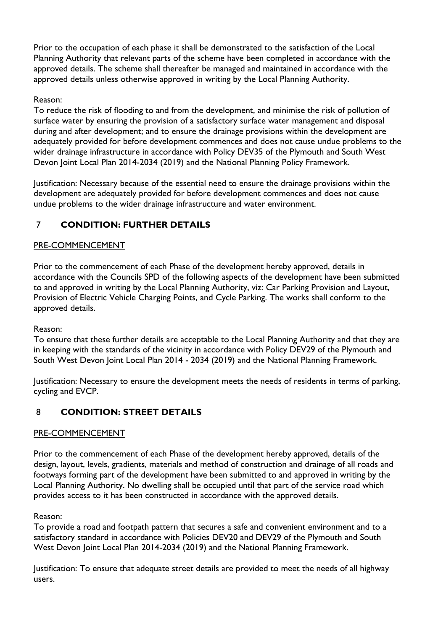Prior to the occupation of each phase it shall be demonstrated to the satisfaction of the Local Planning Authority that relevant parts of the scheme have been completed in accordance with the approved details. The scheme shall thereafter be managed and maintained in accordance with the approved details unless otherwise approved in writing by the Local Planning Authority.

### Reason:

To reduce the risk of flooding to and from the development, and minimise the risk of pollution of surface water by ensuring the provision of a satisfactory surface water management and disposal during and after development; and to ensure the drainage provisions within the development are adequately provided for before development commences and does not cause undue problems to the wider drainage infrastructure in accordance with Policy DEV35 of the Plymouth and South West Devon Joint Local Plan 2014-2034 (2019) and the National Planning Policy Framework.

Justification: Necessary because of the essential need to ensure the drainage provisions within the development are adequately provided for before development commences and does not cause undue problems to the wider drainage infrastructure and water environment.

# 7 **CONDITION: FURTHER DETAILS**

# PRE-COMMENCEMENT

Prior to the commencement of each Phase of the development hereby approved, details in accordance with the Councils SPD of the following aspects of the development have been submitted to and approved in writing by the Local Planning Authority, viz: Car Parking Provision and Layout, Provision of Electric Vehicle Charging Points, and Cycle Parking. The works shall conform to the approved details.

#### Reason:

To ensure that these further details are acceptable to the Local Planning Authority and that they are in keeping with the standards of the vicinity in accordance with Policy DEV29 of the Plymouth and South West Devon Joint Local Plan 2014 - 2034 (2019) and the National Planning Framework.

Justification: Necessary to ensure the development meets the needs of residents in terms of parking, cycling and EVCP.

# 8 **CONDITION: STREET DETAILS**

#### PRE-COMMENCEMENT

Prior to the commencement of each Phase of the development hereby approved, details of the design, layout, levels, gradients, materials and method of construction and drainage of all roads and footways forming part of the development have been submitted to and approved in writing by the Local Planning Authority. No dwelling shall be occupied until that part of the service road which provides access to it has been constructed in accordance with the approved details.

#### Reason:

To provide a road and footpath pattern that secures a safe and convenient environment and to a satisfactory standard in accordance with Policies DEV20 and DEV29 of the Plymouth and South West Devon Joint Local Plan 2014-2034 (2019) and the National Planning Framework.

Justification: To ensure that adequate street details are provided to meet the needs of all highway users.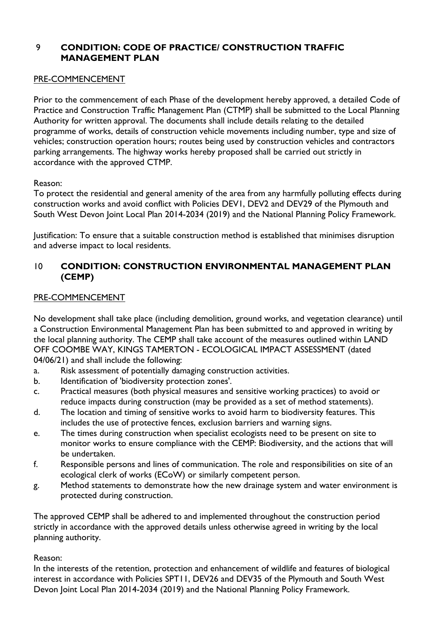# 9 **CONDITION: CODE OF PRACTICE/ CONSTRUCTION TRAFFIC MANAGEMENT PLAN**

#### PRE-COMMENCEMENT

Prior to the commencement of each Phase of the development hereby approved, a detailed Code of Practice and Construction Traffic Management Plan (CTMP) shall be submitted to the Local Planning Authority for written approval. The documents shall include details relating to the detailed programme of works, details of construction vehicle movements including number, type and size of vehicles; construction operation hours; routes being used by construction vehicles and contractors parking arrangements. The highway works hereby proposed shall be carried out strictly in accordance with the approved CTMP.

#### Reason:

To protect the residential and general amenity of the area from any harmfully polluting effects during construction works and avoid conflict with Policies DEV1, DEV2 and DEV29 of the Plymouth and South West Devon Joint Local Plan 2014-2034 (2019) and the National Planning Policy Framework.

Justification: To ensure that a suitable construction method is established that minimises disruption and adverse impact to local residents.

### 10 **CONDITION: CONSTRUCTION ENVIRONMENTAL MANAGEMENT PLAN (CEMP)**

#### PRE-COMMENCEMENT

No development shall take place (including demolition, ground works, and vegetation clearance) until a Construction Environmental Management Plan has been submitted to and approved in writing by the local planning authority. The CEMP shall take account of the measures outlined within LAND OFF COOMBE WAY, KINGS TAMERTON - ECOLOGICAL IMPACT ASSESSMENT (dated 04/06/21) and shall include the following:

- a. Risk assessment of potentially damaging construction activities.
- b. Identification of 'biodiversity protection zones'.
- c. Practical measures (both physical measures and sensitive working practices) to avoid or reduce impacts during construction (may be provided as a set of method statements).
- d. The location and timing of sensitive works to avoid harm to biodiversity features. This includes the use of protective fences, exclusion barriers and warning signs.
- e. The times during construction when specialist ecologists need to be present on site to monitor works to ensure compliance with the CEMP: Biodiversity, and the actions that will be undertaken.
- f. Responsible persons and lines of communication. The role and responsibilities on site of an ecological clerk of works (ECoW) or similarly competent person.
- g. Method statements to demonstrate how the new drainage system and water environment is protected during construction.

The approved CEMP shall be adhered to and implemented throughout the construction period strictly in accordance with the approved details unless otherwise agreed in writing by the local planning authority.

#### Reason:

In the interests of the retention, protection and enhancement of wildlife and features of biological interest in accordance with Policies SPT11, DEV26 and DEV35 of the Plymouth and South West Devon Joint Local Plan 2014-2034 (2019) and the National Planning Policy Framework.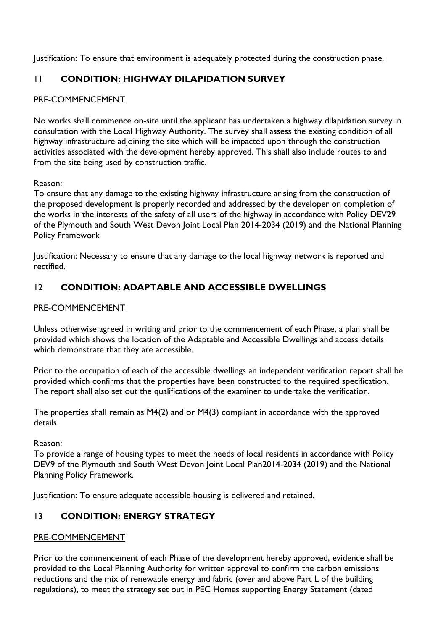Justification: To ensure that environment is adequately protected during the construction phase.

# 11 **CONDITION: HIGHWAY DILAPIDATION SURVEY**

### PRE-COMMENCEMENT

No works shall commence on-site until the applicant has undertaken a highway dilapidation survey in consultation with the Local Highway Authority. The survey shall assess the existing condition of all highway infrastructure adjoining the site which will be impacted upon through the construction activities associated with the development hereby approved. This shall also include routes to and from the site being used by construction traffic.

Reason:

To ensure that any damage to the existing highway infrastructure arising from the construction of the proposed development is properly recorded and addressed by the developer on completion of the works in the interests of the safety of all users of the highway in accordance with Policy DEV29 of the Plymouth and South West Devon Joint Local Plan 2014-2034 (2019) and the National Planning Policy Framework

Justification: Necessary to ensure that any damage to the local highway network is reported and rectified.

# 12 **CONDITION: ADAPTABLE AND ACCESSIBLE DWELLINGS**

#### PRE-COMMENCEMENT

Unless otherwise agreed in writing and prior to the commencement of each Phase, a plan shall be provided which shows the location of the Adaptable and Accessible Dwellings and access details which demonstrate that they are accessible.

Prior to the occupation of each of the accessible dwellings an independent verification report shall be provided which confirms that the properties have been constructed to the required specification. The report shall also set out the qualifications of the examiner to undertake the verification.

The properties shall remain as M4(2) and or M4(3) compliant in accordance with the approved details.

Reason:

To provide a range of housing types to meet the needs of local residents in accordance with Policy DEV9 of the Plymouth and South West Devon Joint Local Plan2014-2034 (2019) and the National Planning Policy Framework.

Justification: To ensure adequate accessible housing is delivered and retained.

# 13 **CONDITION: ENERGY STRATEGY**

#### PRE-COMMENCEMENT

Prior to the commencement of each Phase of the development hereby approved, evidence shall be provided to the Local Planning Authority for written approval to confirm the carbon emissions reductions and the mix of renewable energy and fabric (over and above Part L of the building regulations), to meet the strategy set out in PEC Homes supporting Energy Statement (dated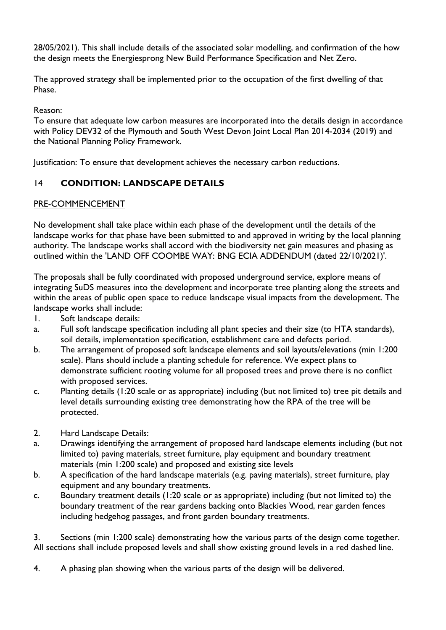28/05/2021). This shall include details of the associated solar modelling, and confirmation of the how the design meets the Energiesprong New Build Performance Specification and Net Zero.

The approved strategy shall be implemented prior to the occupation of the first dwelling of that Phase.

Reason:

To ensure that adequate low carbon measures are incorporated into the details design in accordance with Policy DEV32 of the Plymouth and South West Devon Joint Local Plan 2014-2034 (2019) and the National Planning Policy Framework.

Justification: To ensure that development achieves the necessary carbon reductions.

# 14 **CONDITION: LANDSCAPE DETAILS**

### PRE-COMMENCEMENT

No development shall take place within each phase of the development until the details of the landscape works for that phase have been submitted to and approved in writing by the local planning authority. The landscape works shall accord with the biodiversity net gain measures and phasing as outlined within the 'LAND OFF COOMBE WAY: BNG ECIA ADDENDUM (dated 22/10/2021)'.

The proposals shall be fully coordinated with proposed underground service, explore means of integrating SuDS measures into the development and incorporate tree planting along the streets and within the areas of public open space to reduce landscape visual impacts from the development. The landscape works shall include:

- 1. Soft landscape details:
- a. Full soft landscape specification including all plant species and their size (to HTA standards), soil details, implementation specification, establishment care and defects period.
- b. The arrangement of proposed soft landscape elements and soil layouts/elevations (min 1:200 scale). Plans should include a planting schedule for reference. We expect plans to demonstrate sufficient rooting volume for all proposed trees and prove there is no conflict with proposed services.
- c. Planting details (1:20 scale or as appropriate) including (but not limited to) tree pit details and level details surrounding existing tree demonstrating how the RPA of the tree will be protected.
- 2. Hard Landscape Details:
- a. Drawings identifying the arrangement of proposed hard landscape elements including (but not limited to) paving materials, street furniture, play equipment and boundary treatment materials (min 1:200 scale) and proposed and existing site levels
- b. A specification of the hard landscape materials (e.g. paving materials), street furniture, play equipment and any boundary treatments.
- c. Boundary treatment details (1:20 scale or as appropriate) including (but not limited to) the boundary treatment of the rear gardens backing onto Blackies Wood, rear garden fences including hedgehog passages, and front garden boundary treatments.

3. Sections (min 1:200 scale) demonstrating how the various parts of the design come together. All sections shall include proposed levels and shall show existing ground levels in a red dashed line.

4. A phasing plan showing when the various parts of the design will be delivered.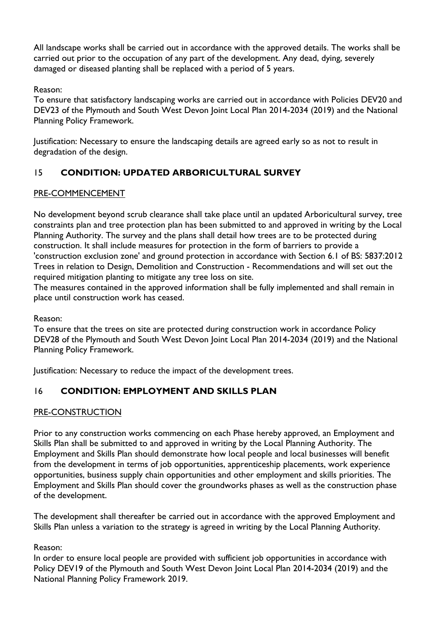All landscape works shall be carried out in accordance with the approved details. The works shall be carried out prior to the occupation of any part of the development. Any dead, dying, severely damaged or diseased planting shall be replaced with a period of 5 years.

### Reason:

To ensure that satisfactory landscaping works are carried out in accordance with Policies DEV20 and DEV23 of the Plymouth and South West Devon Joint Local Plan 2014-2034 (2019) and the National Planning Policy Framework.

Justification: Necessary to ensure the landscaping details are agreed early so as not to result in degradation of the design.

# 15 **CONDITION: UPDATED ARBORICULTURAL SURVEY**

# PRE-COMMENCEMENT

No development beyond scrub clearance shall take place until an updated Arboricultural survey, tree constraints plan and tree protection plan has been submitted to and approved in writing by the Local Planning Authority. The survey and the plans shall detail how trees are to be protected during construction. It shall include measures for protection in the form of barriers to provide a 'construction exclusion zone' and ground protection in accordance with Section 6.1 of BS: 5837:2012 Trees in relation to Design, Demolition and Construction - Recommendations and will set out the required mitigation planting to mitigate any tree loss on site.

The measures contained in the approved information shall be fully implemented and shall remain in place until construction work has ceased.

#### Reason:

To ensure that the trees on site are protected during construction work in accordance Policy DEV28 of the Plymouth and South West Devon Joint Local Plan 2014-2034 (2019) and the National Planning Policy Framework.

Justification: Necessary to reduce the impact of the development trees.

# 16 **CONDITION: EMPLOYMENT AND SKILLS PLAN**

# PRE-CONSTRUCTION

Prior to any construction works commencing on each Phase hereby approved, an Employment and Skills Plan shall be submitted to and approved in writing by the Local Planning Authority. The Employment and Skills Plan should demonstrate how local people and local businesses will benefit from the development in terms of job opportunities, apprenticeship placements, work experience opportunities, business supply chain opportunities and other employment and skills priorities. The Employment and Skills Plan should cover the groundworks phases as well as the construction phase of the development.

The development shall thereafter be carried out in accordance with the approved Employment and Skills Plan unless a variation to the strategy is agreed in writing by the Local Planning Authority.

#### Reason:

In order to ensure local people are provided with sufficient job opportunities in accordance with Policy DEV19 of the Plymouth and South West Devon Joint Local Plan 2014-2034 (2019) and the National Planning Policy Framework 2019.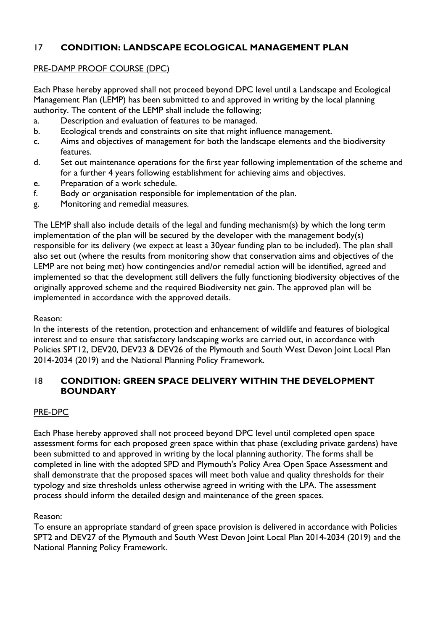# 17 **CONDITION: LANDSCAPE ECOLOGICAL MANAGEMENT PLAN**

#### PRE-DAMP PROOF COURSE (DPC)

Each Phase hereby approved shall not proceed beyond DPC level until a Landscape and Ecological Management Plan (LEMP) has been submitted to and approved in writing by the local planning authority. The content of the LEMP shall include the following;

- a. Description and evaluation of features to be managed.
- b. Ecological trends and constraints on site that might influence management.
- c. Aims and objectives of management for both the landscape elements and the biodiversity features.
- d. Set out maintenance operations for the first year following implementation of the scheme and for a further 4 years following establishment for achieving aims and objectives.
- e. Preparation of a work schedule.
- f. Body or organisation responsible for implementation of the plan.
- g. Monitoring and remedial measures.

The LEMP shall also include details of the legal and funding mechanism(s) by which the long term implementation of the plan will be secured by the developer with the management body(s) responsible for its delivery (we expect at least a 30year funding plan to be included). The plan shall also set out (where the results from monitoring show that conservation aims and objectives of the LEMP are not being met) how contingencies and/or remedial action will be identified, agreed and implemented so that the development still delivers the fully functioning biodiversity objectives of the originally approved scheme and the required Biodiversity net gain. The approved plan will be implemented in accordance with the approved details.

#### Reason:

In the interests of the retention, protection and enhancement of wildlife and features of biological interest and to ensure that satisfactory landscaping works are carried out, in accordance with Policies SPT12, DEV20, DEV23 & DEV26 of the Plymouth and South West Devon Joint Local Plan 2014-2034 (2019) and the National Planning Policy Framework.

### 18 **CONDITION: GREEN SPACE DELIVERY WITHIN THE DEVELOPMENT BOUNDARY**

#### PRE-DPC

Each Phase hereby approved shall not proceed beyond DPC level until completed open space assessment forms for each proposed green space within that phase (excluding private gardens) have been submitted to and approved in writing by the local planning authority. The forms shall be completed in line with the adopted SPD and Plymouth's Policy Area Open Space Assessment and shall demonstrate that the proposed spaces will meet both value and quality thresholds for their typology and size thresholds unless otherwise agreed in writing with the LPA. The assessment process should inform the detailed design and maintenance of the green spaces.

#### Reason:

To ensure an appropriate standard of green space provision is delivered in accordance with Policies SPT2 and DEV27 of the Plymouth and South West Devon Joint Local Plan 2014-2034 (2019) and the National Planning Policy Framework.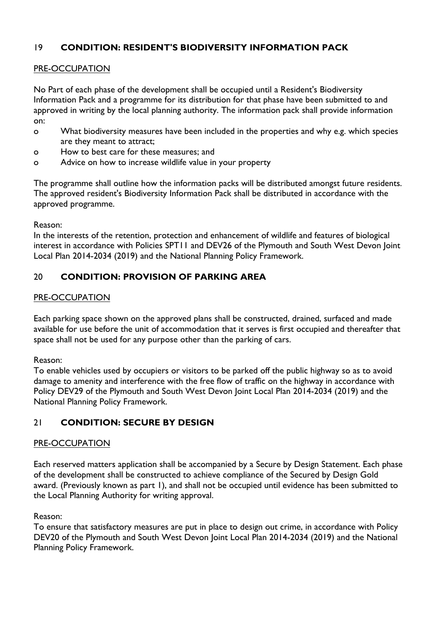# 19 **CONDITION: RESIDENT'S BIODIVERSITY INFORMATION PACK**

### PRE-OCCUPATION

No Part of each phase of the development shall be occupied until a Resident's Biodiversity Information Pack and a programme for its distribution for that phase have been submitted to and approved in writing by the local planning authority. The information pack shall provide information on:

- o What biodiversity measures have been included in the properties and why e.g. which species are they meant to attract;
- o How to best care for these measures; and
- o Advice on how to increase wildlife value in your property

The programme shall outline how the information packs will be distributed amongst future residents. The approved resident's Biodiversity Information Pack shall be distributed in accordance with the approved programme.

Reason:

In the interests of the retention, protection and enhancement of wildlife and features of biological interest in accordance with Policies SPT11 and DEV26 of the Plymouth and South West Devon Joint Local Plan 2014-2034 (2019) and the National Planning Policy Framework.

# 20 **CONDITION: PROVISION OF PARKING AREA**

#### PRE-OCCUPATION

Each parking space shown on the approved plans shall be constructed, drained, surfaced and made available for use before the unit of accommodation that it serves is first occupied and thereafter that space shall not be used for any purpose other than the parking of cars.

Reason:

To enable vehicles used by occupiers or visitors to be parked off the public highway so as to avoid damage to amenity and interference with the free flow of traffic on the highway in accordance with Policy DEV29 of the Plymouth and South West Devon Joint Local Plan 2014-2034 (2019) and the National Planning Policy Framework.

# 21 **CONDITION: SECURE BY DESIGN**

#### PRE-OCCUPATION

Each reserved matters application shall be accompanied by a Secure by Design Statement. Each phase of the development shall be constructed to achieve compliance of the Secured by Design Gold award. (Previously known as part 1), and shall not be occupied until evidence has been submitted to the Local Planning Authority for writing approval.

Reason:

To ensure that satisfactory measures are put in place to design out crime, in accordance with Policy DEV20 of the Plymouth and South West Devon Joint Local Plan 2014-2034 (2019) and the National Planning Policy Framework.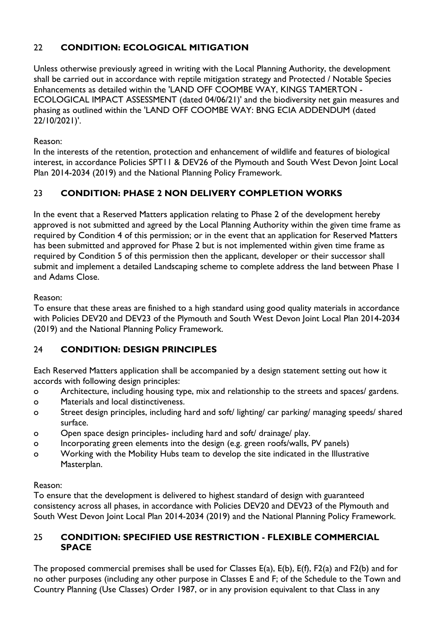# 22 **CONDITION: ECOLOGICAL MITIGATION**

Unless otherwise previously agreed in writing with the Local Planning Authority, the development shall be carried out in accordance with reptile mitigation strategy and Protected / Notable Species Enhancements as detailed within the 'LAND OFF COOMBE WAY, KINGS TAMERTON - ECOLOGICAL IMPACT ASSESSMENT (dated 04/06/21)' and the biodiversity net gain measures and phasing as outlined within the 'LAND OFF COOMBE WAY: BNG ECIA ADDENDUM (dated 22/10/2021)'.

Reason:

In the interests of the retention, protection and enhancement of wildlife and features of biological interest, in accordance Policies SPT11 & DEV26 of the Plymouth and South West Devon Joint Local Plan 2014-2034 (2019) and the National Planning Policy Framework.

# 23 **CONDITION: PHASE 2 NON DELIVERY COMPLETION WORKS**

In the event that a Reserved Matters application relating to Phase 2 of the development hereby approved is not submitted and agreed by the Local Planning Authority within the given time frame as required by Condition 4 of this permission; or in the event that an application for Reserved Matters has been submitted and approved for Phase 2 but is not implemented within given time frame as required by Condition 5 of this permission then the applicant, developer or their successor shall submit and implement a detailed Landscaping scheme to complete address the land between Phase 1 and Adams Close.

Reason:

To ensure that these areas are finished to a high standard using good quality materials in accordance with Policies DEV20 and DEV23 of the Plymouth and South West Devon Joint Local Plan 2014-2034 (2019) and the National Planning Policy Framework.

# 24 **CONDITION: DESIGN PRINCIPLES**

Each Reserved Matters application shall be accompanied by a design statement setting out how it accords with following design principles:

- o Architecture, including housing type, mix and relationship to the streets and spaces/ gardens.
- o Materials and local distinctiveness.
- o Street design principles, including hard and soft/ lighting/ car parking/ managing speeds/ shared surface.
- o Open space design principles- including hard and soft/ drainage/ play.
- o Incorporating green elements into the design (e.g. green roofs/walls, PV panels)
- o Working with the Mobility Hubs team to develop the site indicated in the Illustrative Masterplan.

# Reason:

To ensure that the development is delivered to highest standard of design with guaranteed consistency across all phases, in accordance with Policies DEV20 and DEV23 of the Plymouth and South West Devon Joint Local Plan 2014-2034 (2019) and the National Planning Policy Framework.

### 25 **CONDITION: SPECIFIED USE RESTRICTION - FLEXIBLE COMMERCIAL SPACE**

The proposed commercial premises shall be used for Classes E(a), E(b), E(f), F2(a) and F2(b) and for no other purposes (including any other purpose in Classes E and F; of the Schedule to the Town and Country Planning (Use Classes) Order 1987, or in any provision equivalent to that Class in any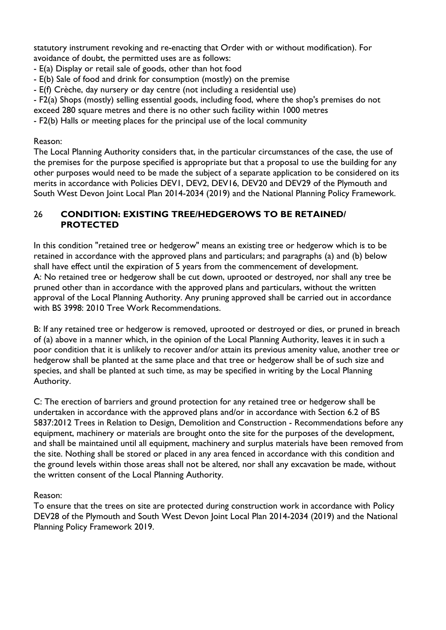statutory instrument revoking and re-enacting that Order with or without modification). For avoidance of doubt, the permitted uses are as follows:

- E(a) Display or retail sale of goods, other than hot food
- E(b) Sale of food and drink for consumption (mostly) on the premise
- E(f) Crèche, day nursery or day centre (not including a residential use)

- F2(a) Shops (mostly) selling essential goods, including food, where the shop's premises do not

exceed 280 square metres and there is no other such facility within 1000 metres

- F2(b) Halls or meeting places for the principal use of the local community

#### Reason:

The Local Planning Authority considers that, in the particular circumstances of the case, the use of the premises for the purpose specified is appropriate but that a proposal to use the building for any other purposes would need to be made the subject of a separate application to be considered on its merits in accordance with Policies DEV1, DEV2, DEV16, DEV20 and DEV29 of the Plymouth and South West Devon Joint Local Plan 2014-2034 (2019) and the National Planning Policy Framework.

### 26 **CONDITION: EXISTING TREE/HEDGEROWS TO BE RETAINED/ PROTECTED**

In this condition "retained tree or hedgerow" means an existing tree or hedgerow which is to be retained in accordance with the approved plans and particulars; and paragraphs (a) and (b) below shall have effect until the expiration of 5 years from the commencement of development. A: No retained tree or hedgerow shall be cut down, uprooted or destroyed, nor shall any tree be pruned other than in accordance with the approved plans and particulars, without the written approval of the Local Planning Authority. Any pruning approved shall be carried out in accordance with BS 3998: 2010 Tree Work Recommendations.

B: If any retained tree or hedgerow is removed, uprooted or destroyed or dies, or pruned in breach of (a) above in a manner which, in the opinion of the Local Planning Authority, leaves it in such a poor condition that it is unlikely to recover and/or attain its previous amenity value, another tree or hedgerow shall be planted at the same place and that tree or hedgerow shall be of such size and species, and shall be planted at such time, as may be specified in writing by the Local Planning Authority.

C: The erection of barriers and ground protection for any retained tree or hedgerow shall be undertaken in accordance with the approved plans and/or in accordance with Section 6.2 of BS 5837:2012 Trees in Relation to Design, Demolition and Construction - Recommendations before any equipment, machinery or materials are brought onto the site for the purposes of the development, and shall be maintained until all equipment, machinery and surplus materials have been removed from the site. Nothing shall be stored or placed in any area fenced in accordance with this condition and the ground levels within those areas shall not be altered, nor shall any excavation be made, without the written consent of the Local Planning Authority.

#### Reason:

To ensure that the trees on site are protected during construction work in accordance with Policy DEV28 of the Plymouth and South West Devon Joint Local Plan 2014-2034 (2019) and the National Planning Policy Framework 2019.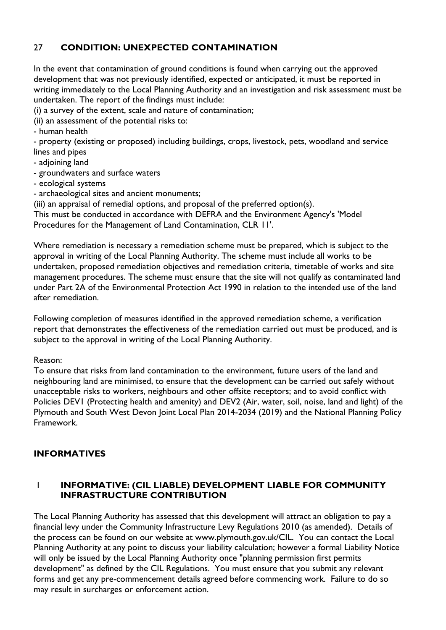# 27 **CONDITION: UNEXPECTED CONTAMINATION**

In the event that contamination of ground conditions is found when carrying out the approved development that was not previously identified, expected or anticipated, it must be reported in writing immediately to the Local Planning Authority and an investigation and risk assessment must be undertaken. The report of the findings must include:

(i) a survey of the extent, scale and nature of contamination;

(ii) an assessment of the potential risks to:

- human health

- property (existing or proposed) including buildings, crops, livestock, pets, woodland and service lines and pipes

- adjoining land
- groundwaters and surface waters
- ecological systems
- archaeological sites and ancient monuments;

(iii) an appraisal of remedial options, and proposal of the preferred option(s).

This must be conducted in accordance with DEFRA and the Environment Agency's 'Model

Procedures for the Management of Land Contamination, CLR 11'.

Where remediation is necessary a remediation scheme must be prepared, which is subject to the approval in writing of the Local Planning Authority. The scheme must include all works to be undertaken, proposed remediation objectives and remediation criteria, timetable of works and site management procedures. The scheme must ensure that the site will not qualify as contaminated land under Part 2A of the Environmental Protection Act 1990 in relation to the intended use of the land after remediation.

Following completion of measures identified in the approved remediation scheme, a verification report that demonstrates the effectiveness of the remediation carried out must be produced, and is subject to the approval in writing of the Local Planning Authority.

Reason:

To ensure that risks from land contamination to the environment, future users of the land and neighbouring land are minimised, to ensure that the development can be carried out safely without unacceptable risks to workers, neighbours and other offsite receptors; and to avoid conflict with Policies DEV1 (Protecting health and amenity) and DEV2 (Air, water, soil, noise, land and light) of the Plymouth and South West Devon Joint Local Plan 2014-2034 (2019) and the National Planning Policy Framework.

# **INFORMATIVES**

### 1 **INFORMATIVE: (CIL LIABLE) DEVELOPMENT LIABLE FOR COMMUNITY INFRASTRUCTURE CONTRIBUTION**

The Local Planning Authority has assessed that this development will attract an obligation to pay a financial levy under the Community Infrastructure Levy Regulations 2010 (as amended). Details of the process can be found on our website at www.plymouth.gov.uk/CIL. You can contact the Local Planning Authority at any point to discuss your liability calculation; however a formal Liability Notice will only be issued by the Local Planning Authority once "planning permission first permits development" as defined by the CIL Regulations. You must ensure that you submit any relevant forms and get any pre-commencement details agreed before commencing work. Failure to do so may result in surcharges or enforcement action.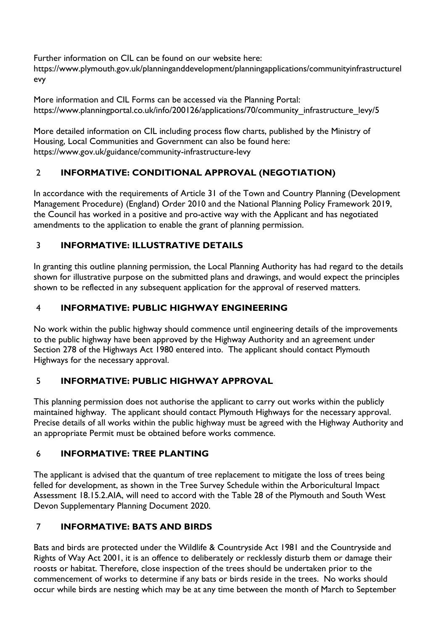Further information on CIL can be found on our website here: https://www.plymouth.gov.uk/planninganddevelopment/planningapplications/communityinfrastructurel evy

More information and CIL Forms can be accessed via the Planning Portal: https://www.planningportal.co.uk/info/200126/applications/70/community\_infrastructure\_levy/5

More detailed information on CIL including process flow charts, published by the Ministry of Housing, Local Communities and Government can also be found here: https://www.gov.uk/guidance/community-infrastructure-levy

# 2 **INFORMATIVE: CONDITIONAL APPROVAL (NEGOTIATION)**

In accordance with the requirements of Article 31 of the Town and Country Planning (Development Management Procedure) (England) Order 2010 and the National Planning Policy Framework 2019, the Council has worked in a positive and pro-active way with the Applicant and has negotiated amendments to the application to enable the grant of planning permission.

# 3 **INFORMATIVE: ILLUSTRATIVE DETAILS**

In granting this outline planning permission, the Local Planning Authority has had regard to the details shown for illustrative purpose on the submitted plans and drawings, and would expect the principles shown to be reflected in any subsequent application for the approval of reserved matters.

# 4 **INFORMATIVE: PUBLIC HIGHWAY ENGINEERING**

No work within the public highway should commence until engineering details of the improvements to the public highway have been approved by the Highway Authority and an agreement under Section 278 of the Highways Act 1980 entered into. The applicant should contact Plymouth Highways for the necessary approval.

# 5 **INFORMATIVE: PUBLIC HIGHWAY APPROVAL**

This planning permission does not authorise the applicant to carry out works within the publicly maintained highway. The applicant should contact Plymouth Highways for the necessary approval. Precise details of all works within the public highway must be agreed with the Highway Authority and an appropriate Permit must be obtained before works commence.

# 6 **INFORMATIVE: TREE PLANTING**

The applicant is advised that the quantum of tree replacement to mitigate the loss of trees being felled for development, as shown in the Tree Survey Schedule within the Arboricultural Impact Assessment 18.15.2.AIA, will need to accord with the Table 28 of the Plymouth and South West Devon Supplementary Planning Document 2020.

# 7 **INFORMATIVE: BATS AND BIRDS**

Bats and birds are protected under the Wildlife & Countryside Act 1981 and the Countryside and Rights of Way Act 2001, it is an offence to deliberately or recklessly disturb them or damage their roosts or habitat. Therefore, close inspection of the trees should be undertaken prior to the commencement of works to determine if any bats or birds reside in the trees. No works should occur while birds are nesting which may be at any time between the month of March to September